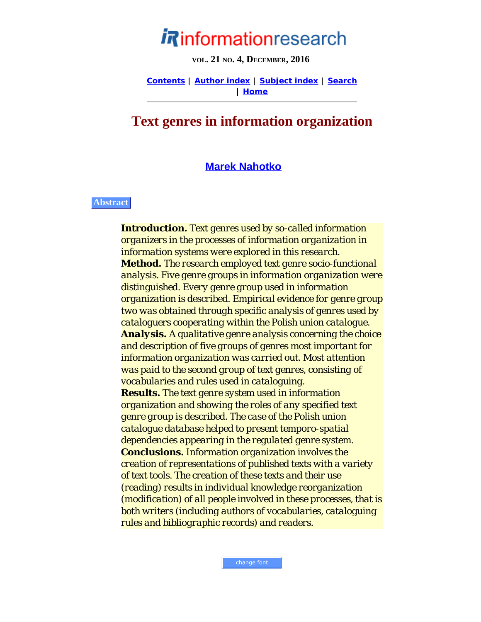# informationresearch

**VOL. 21 NO. 4, DECEMBER, 2016**

**[Contents](http://www.informationr.net/ir/21-4/infres214.html) | [Author index](http://www.informationr.net/ir/iraindex.html) | [Subject index](http://www.informationr.net/ir/irsindex.html) | [Search](http://www.informationr.net/ir/search.html) | [Home](http://www.informationr.net/ir/index.html)**

## **Text genres in information organization**

## **[Marek Nahotko](#page-38-0)**

#### **Abstract**

*Introduction. Text genres used by so-called information organizers in the processes of information organization in information systems were explored in this research. Method. The research employed text genre socio-functional analysis. Five genre groups in information organization were distinguished. Every genre group used in information organization is described. Empirical evidence for genre group two was obtained through specific analysis of genres used by cataloguers cooperating within the Polish union catalogue. Analysis. A qualitative genre analysis concerning the choice and description of five groups of genres most important for information organization was carried out. Most attention was paid to the second group of text genres, consisting of vocabularies and rules used in cataloguing. Results. The text genre system used in information organization and showing the roles of any specified text genre group is described. The case of the Polish union catalogue database helped to present temporo-spatial dependencies appearing in the regulated genre system. Conclusions. Information organization involves the creation of representations of published texts with a variety of text tools. The creation of these texts and their use (reading) results in individual knowledge reorganization (modification) of all people involved in these processes, that is both writers (including authors of vocabularies, cataloguing rules and bibliographic records) and readers.*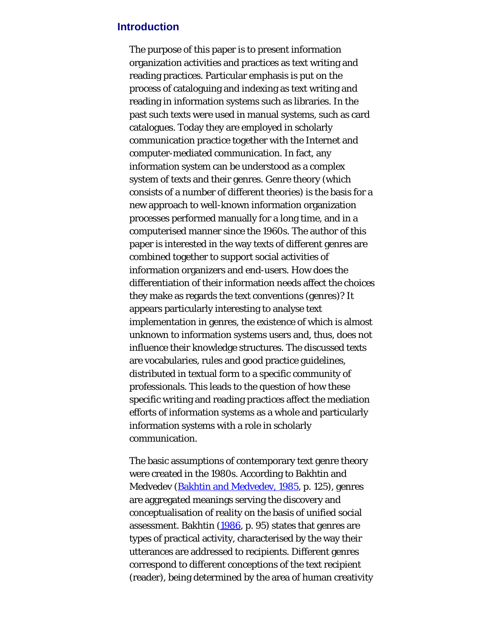## **Introduction**

The purpose of this paper is to present information organization activities and practices as text writing and reading practices. Particular emphasis is put on the process of cataloguing and indexing as text writing and reading in information systems such as libraries. In the past such texts were used in manual systems, such as card catalogues. Today they are employed in scholarly communication practice together with the Internet and computer-mediated communication. In fact, any information system can be understood as a complex system of texts and their genres. Genre theory (which consists of a number of different theories) is the basis for a new approach to well-known information organization processes performed manually for a long time, and in a computerised manner since the 1960s. The author of this paper is interested in the way texts of different genres are combined together to support social activities of information organizers and end-users. How does the differentiation of their information needs affect the choices they make as regards the text conventions (genres)? It appears particularly interesting to analyse text implementation in genres, the existence of which is almost unknown to information systems users and, thus, does not influence their knowledge structures. The discussed texts are vocabularies, rules and good practice guidelines, distributed in textual form to a specific community of professionals. This leads to the question of how these specific writing and reading practices affect the mediation efforts of information systems as a whole and particularly information systems with a role in scholarly communication.

The basic assumptions of contemporary text genre theory were created in the 1980s. According to Bakhtin and Medvedev [\(Bakhtin and Medvedev, 1985](#page-43-0), p. 125), genres are aggregated meanings serving the discovery and conceptualisation of reality on the basis of unified social assessment. Bakhtin [\(1986](#page-43-0), p. 95) states that genres are types of practical activity, characterised by the way their utterances are addressed to recipients. Different genres correspond to different conceptions of the text recipient (reader), being determined by the area of human creativity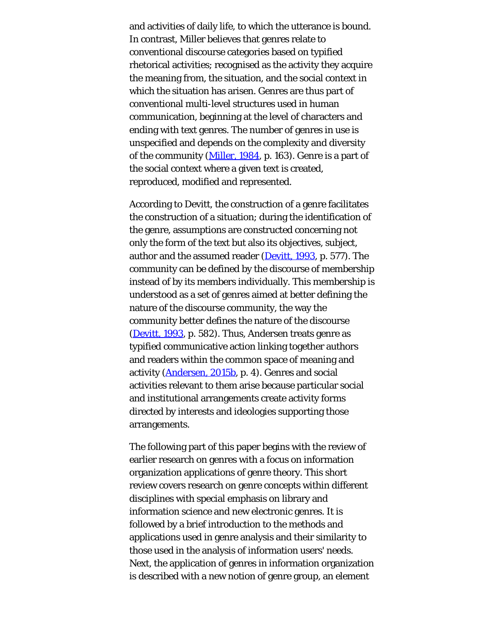and activities of daily life, to which the utterance is bound. In contrast, Miller believes that genres relate to conventional discourse categories based on typified rhetorical activities; recognised as the activity they acquire the meaning from, the situation, and the social context in which the situation has arisen. Genres are thus part of conventional multi-level structures used in human communication, beginning at the level of characters and ending with text genres. The number of genres in use is unspecified and depends on the complexity and diversity of the community [\(Miller, 1984](#page-43-0), p. 163). Genre is a part of the social context where a given text is created, reproduced, modified and represented.

According to Devitt, the construction of a genre facilitates the construction of a situation; during the identification of the genre, assumptions are constructed concerning not only the form of the text but also its objectives, subject, author and the assumed reader [\(Devitt, 1993](#page-43-0), p. 577). The community can be defined by the discourse of membership instead of by its members individually. This membership is understood as a set of genres aimed at better defining the nature of the discourse community, the way the community better defines the nature of the discourse [\(Devitt, 1993](#page-43-0), p. 582). Thus, Andersen treats genre as typified communicative action linking together authors and readers within the common space of meaning and activity [\(Andersen, 2015b](#page-43-0), p. 4). Genres and social activities relevant to them arise because particular social and institutional arrangements create activity forms directed by interests and ideologies supporting those arrangements.

The following part of this paper begins with the review of earlier research on genres with a focus on information organization applications of genre theory. This short review covers research on genre concepts within different disciplines with special emphasis on library and information science and new electronic genres. It is followed by a brief introduction to the methods and applications used in genre analysis and their similarity to those used in the analysis of information users' needs. Next, the application of genres in information organization is described with a new notion of genre group, an element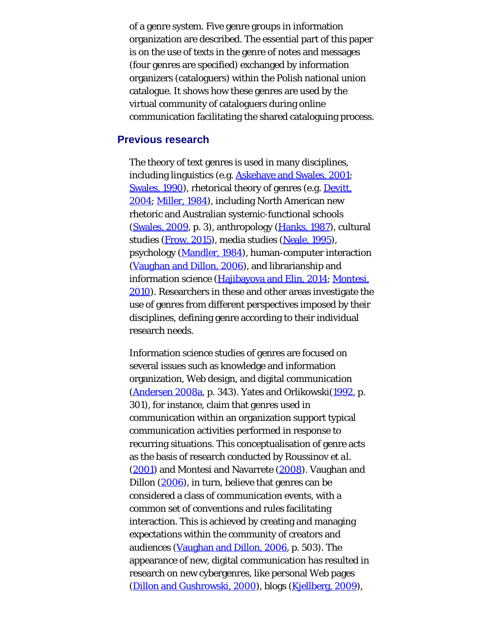of a genre system. Five genre groups in information organization are described. The essential part of this paper is on the use of texts in the genre of notes and messages (four genres are specified) exchanged by information organizers (cataloguers) within the Polish national union catalogue. It shows how these genres are used by the virtual community of cataloguers during online communication facilitating the shared cataloguing process.

### **Previous research**

The theory of text genres is used in many disciplines, including linguistics (e.g. [Askehave and Swales, 2001;](#page-43-0) [Swales, 1990\)](#page-43-1), rhetorical theory of genres (e.g. [Devitt,](#page-43-0) [2004; Miller, 1984](#page-43-0)), including North American new rhetoric and Australian systemic-functional schools ([Swales, 2009](#page-43-2), p. 3), anthropology [\(Hanks, 1987](#page-43-0)), cultural studies ([Frow, 2015\)](#page-43-0), media studies ([Neale, 1995](#page-43-0)), psychology ([Mandler, 1984\)](#page-43-0), human-computer interaction ([Vaughan and Dillon, 2006](#page-43-3)), and librarianship and information science [\(Hajibayova and Elin, 2014](#page-43-0); [Montesi,](#page-43-0) [2010](#page-43-0)). Researchers in these and other areas investigate the use of genres from different perspectives imposed by their disciplines, defining genre according to their individual research needs.

Information science studies of genres are focused on several issues such as knowledge and information organization, Web design, and digital communication ([Andersen 2008a](#page-43-0), p. 343). Yates and Orlikowski[\(1992](#page-43-4), p. 301), for instance, claim that genres used in communication within an organization support typical communication activities performed in response to recurring situations. This conceptualisation of genre acts as the basis of research conducted by Roussinov *et al.* ([2001](#page-43-5)) and Montesi and Navarrete [\(2008\)](#page-43-0). Vaughan and Dillon [\(2006](#page-43-3)), in turn, believe that genres can be considered a class of communication events, with a common set of conventions and rules facilitating interaction. This is achieved by creating and managing expectations within the community of creators and audiences ([Vaughan and Dillon, 2006,](#page-43-3) p. 503). The appearance of new, digital communication has resulted in research on new cybergenres, like personal Web pages [\(Dillon and Gushrowski, 2000\)](#page-43-0), blogs ([Kjellberg, 2009](#page-43-0)),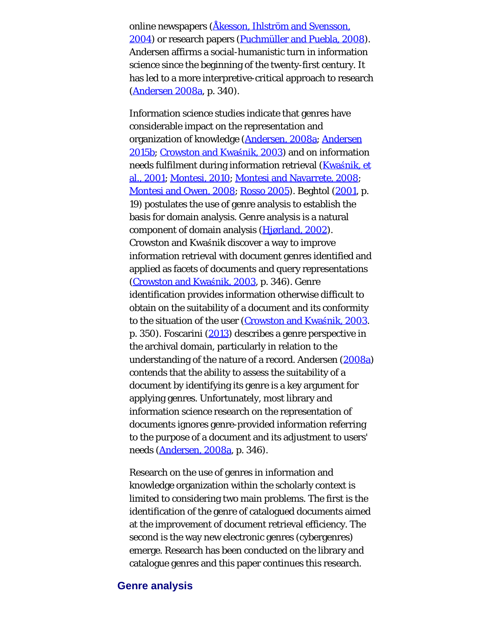online newspapers [\(Åkesson, Ihlström and Svensson,](#page-43-0) [2004\)](#page-43-0) or research papers [\(Puchmüller and Puebla, 2008](#page-43-6)). Andersen affirms a social-humanistic turn in information science since the beginning of the twenty-first century. It has led to a more interpretive-critical approach to research [\(Andersen 2008a](#page-43-0), p. 340).

Information science studies indicate that genres have considerable impact on the representation and organization of knowledge ([Andersen, 2008a;](#page-43-0) [Andersen](#page-43-0) [2015b; Crowston and Kwa](#page-43-0)[ś](#page-43-0)[nik, 2003](#page-43-0)) and on information needs fulfilment during information retrieval ([Kwa](#page-43-0)[ś](#page-43-0)[nik, et](#page-43-0) [al., 2001; Montesi, 2010](#page-43-0); [Montesi and Navarrete, 2008](#page-43-0); [Montesi and Owen, 2008](#page-43-0); [Rosso 2005](#page-43-7)). Beghtol [\(2001](#page-43-0), p. 19) postulates the use of genre analysis to establish the basis for domain analysis. Genre analysis is a natural component of domain analysis [\(Hjørland, 2002](#page-43-0)). Crowston and Kwaśnik discover a way to improve information retrieval with document genres identified and applied as facets of documents and query representations ([Crowston and Kwa](#page-43-0)[ś](#page-43-0)[nik, 2003](#page-43-0), p. 346). Genre identification provides information otherwise difficult to obtain on the suitability of a document and its conformity to the situation of the user ([Crowston and Kwa](#page-43-0)[ś](#page-43-0)[nik, 2003](#page-43-0). p. 350). Foscarini [\(2013](#page-43-0)) describes a genre perspective in the archival domain, particularly in relation to the understanding of the nature of a record. Andersen ([2008a\)](#page-43-0) contends that the ability to assess the suitability of a document by identifying its genre is a key argument for applying genres. Unfortunately, most library and information science research on the representation of documents ignores genre-provided information referring to the purpose of a document and its adjustment to users' needs [\(Andersen, 2008a](#page-43-0), p. 346).

Research on the use of genres in information and knowledge organization within the scholarly context is limited to considering two main problems. The first is the identification of the genre of catalogued documents aimed at the improvement of document retrieval efficiency. The second is the way new electronic genres (cybergenres) emerge. Research has been conducted on the library and catalogue genres and this paper continues this research.

## **Genre analysis**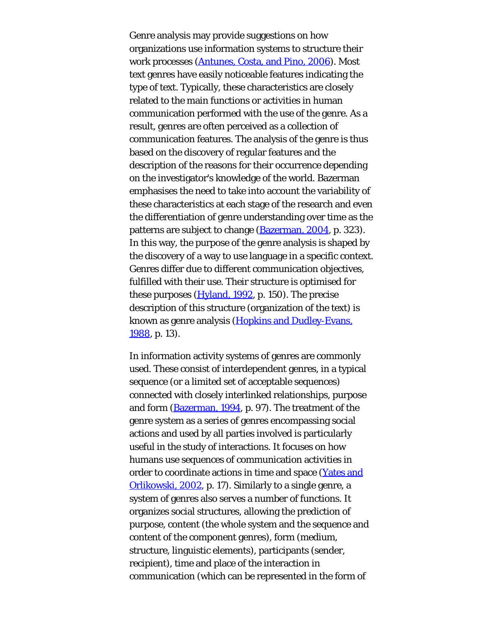Genre analysis may provide suggestions on how organizations use information systems to structure their work processes [\(Antunes, Costa, and Pino, 2006](#page-43-0)). Most text genres have easily noticeable features indicating the type of text. Typically, these characteristics are closely related to the main functions or activities in human communication performed with the use of the genre. As a result, genres are often perceived as a collection of communication features. The analysis of the genre is thus based on the discovery of regular features and the description of the reasons for their occurrence depending on the investigator's knowledge of the world. Bazerman emphasises the need to take into account the variability of these characteristics at each stage of the research and even the differentiation of genre understanding over time as the patterns are subject to change [\(Bazerman, 2004](#page-43-0), p. 323). In this way, the purpose of the genre analysis is shaped by the discovery of a way to use language in a specific context. Genres differ due to different communication objectives, fulfilled with their use. Their structure is optimised for these purposes ([Hyland, 1992,](#page-43-0) p. 150). The precise description of this structure (organization of the text) is known as genre analysis ([Hopkins and Dudley-Evans,](#page-43-0) [1988,](#page-43-0) p. 13).

In information activity systems of genres are commonly used. These consist of interdependent genres, in a typical sequence (or a limited set of acceptable sequences) connected with closely interlinked relationships, purpose and form [\(Bazerman, 1994](#page-43-0), p. 97). The treatment of the genre system as a series of genres encompassing social actions and used by all parties involved is particularly useful in the study of interactions. It focuses on how humans use sequences of communication activities in order to coordinate actions in time and space [\(Yates and](#page-43-8) [Orlikowski, 2002,](#page-43-8) p. 17). Similarly to a single genre, a system of genres also serves a number of functions. It organizes social structures, allowing the prediction of purpose, content (the whole system and the sequence and content of the component genres), form (medium, structure, linguistic elements), participants (sender, recipient), time and place of the interaction in communication (which can be represented in the form of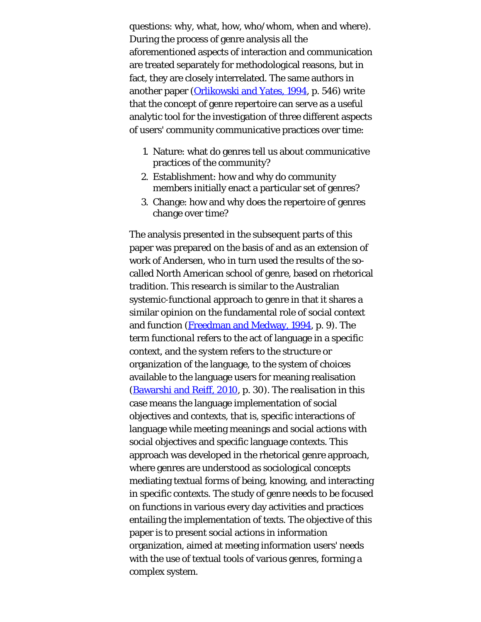questions: why, what, how, who/whom, when and where). During the process of genre analysis all the aforementioned aspects of interaction and communication are treated separately for methodological reasons, but in fact, they are closely interrelated. The same authors in another paper [\(Orlikowski and Yates, 1994](#page-43-0), p. 546) write that the concept of genre repertoire can serve as a useful analytic tool for the investigation of three different aspects of users' community communicative practices over time:

- 1. Nature: what do genres tell us about communicative practices of the community?
- 2. Establishment: how and why do community members initially enact a particular set of genres?
- 3. Change: how and why does the repertoire of genres change over time?

The analysis presented in the subsequent parts of this paper was prepared on the basis of and as an extension of work of Andersen, who in turn used the results of the socalled North American school of genre, based on rhetorical tradition. This research is similar to the Australian systemic-functional approach to genre in that it shares a similar opinion on the fundamental role of social context and function [\(Freedman and Medway, 1994](#page-43-0), p. 9). The term *functional* refers to the act of language in a specific context, and the *system* refers to the structure or organization of the language, to the system of choices available to the language users for meaning realisation ([Bawarshi and Reiff, 2010](#page-43-0), p. 30). The *realisation* in this case means the language implementation of social objectives and contexts, that is, specific interactions of language while meeting meanings and social actions with social objectives and specific language contexts. This approach was developed in the rhetorical genre approach, where genres are understood as sociological concepts mediating textual forms of being, knowing, and interacting in specific contexts. The study of genre needs to be focused on functions in various every day activities and practices entailing the implementation of texts. The objective of this paper is to present social actions in information organization, aimed at meeting information users' needs with the use of textual tools of various genres, forming a complex system.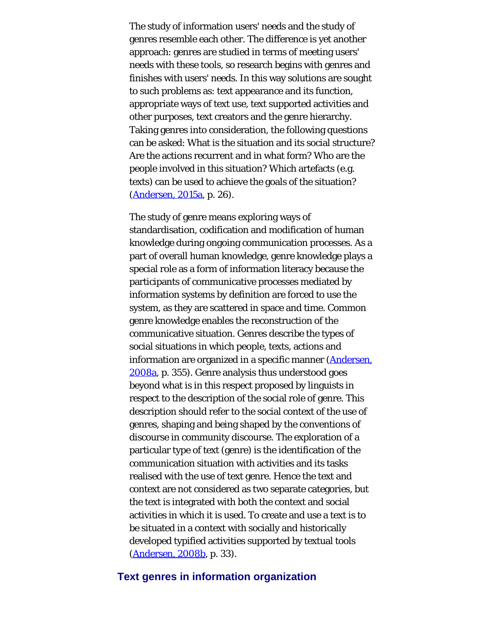The study of information users' needs and the study of genres resemble each other. The difference is yet another approach: genres are studied in terms of meeting users' needs with these tools, so research begins with genres and finishes with users' needs. In this way solutions are sought to such problems as: text appearance and its function, appropriate ways of text use, text supported activities and other purposes, text creators and the genre hierarchy. Taking genres into consideration, the following questions can be asked: What is the situation and its social structure? Are the actions recurrent and in what form? Who are the people involved in this situation? Which artefacts (e.g. texts) can be used to achieve the goals of the situation? ([Andersen, 2015a,](#page-43-0) p. 26).

The study of genre means exploring ways of standardisation, codification and modification of human knowledge during ongoing communication processes. As a part of overall human knowledge, genre knowledge plays a special role as a form of information literacy because the participants of communicative processes mediated by information systems by definition are forced to use the system, as they are scattered in space and time. Common genre knowledge enables the reconstruction of the communicative situation. Genres describe the types of social situations in which people, texts, actions and information are organized in a specific manner ([Andersen,](#page-43-0) [2008a,](#page-43-0) p. 355). Genre analysis thus understood goes beyond what is in this respect proposed by linguists in respect to the description of the social role of genre. This description should refer to the social context of the use of genres, shaping and being shaped by the conventions of discourse in community discourse. The exploration of a particular type of text (genre) is the identification of the communication situation with activities and its tasks realised with the use of text genre. Hence the text and context are not considered as two separate categories, but the text is integrated with both the context and social activities in which it is used. To create and use a text is to be situated in a context with socially and historically developed typified activities supported by textual tools [\(Andersen, 2008b](#page-43-0), p. 33).

### **Text genres in information organization**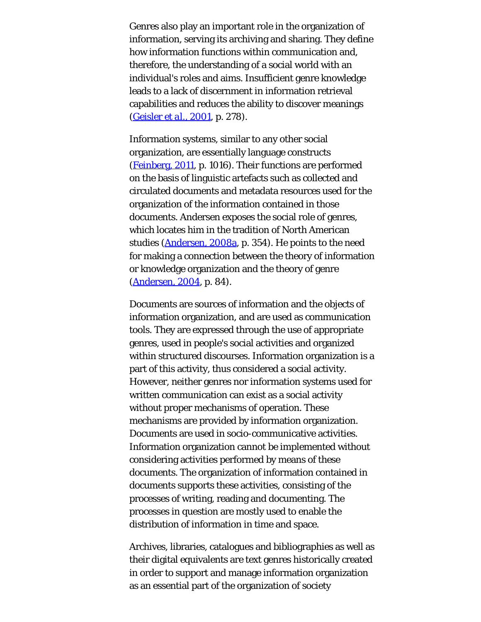Genres also play an important role in the organization of information, serving its archiving and sharing. They define how information functions within communication and, therefore, the understanding of a social world with an individual's roles and aims. Insufficient genre knowledge leads to a lack of discernment in information retrieval capabilities and reduces the ability to discover meanings ([Geisler](#page-43-0) *[et al](#page-43-0)*[., 2001](#page-43-0), p. 278).

Information systems, similar to any other social organization, are essentially language constructs [\(Feinberg, 2011](#page-43-0), p. 1016). Their functions are performed on the basis of linguistic artefacts such as collected and circulated documents and metadata resources used for the organization of the information contained in those documents. Andersen exposes the social role of genres, which locates him in the tradition of North American studies ([Andersen, 2008a,](#page-43-0) p. 354). He points to the need for making a connection between the theory of information or knowledge organization and the theory of genre ([Andersen, 2004](#page-43-0), p. 84).

Documents are sources of information and the objects of information organization, and are used as communication tools. They are expressed through the use of appropriate genres, used in people's social activities and organized within structured discourses. Information organization is a part of this activity, thus considered a social activity. However, neither genres nor information systems used for written communication can exist as a social activity without proper mechanisms of operation. These mechanisms are provided by information organization. Documents are used in socio-communicative activities. Information organization cannot be implemented without considering activities performed by means of these documents. The organization of information contained in documents supports these activities, consisting of the processes of writing, reading and documenting. The processes in question are mostly used to enable the distribution of information in time and space.

Archives, libraries, catalogues and bibliographies as well as their digital equivalents are text genres historically created in order to support and manage information organization as an essential part of the organization of society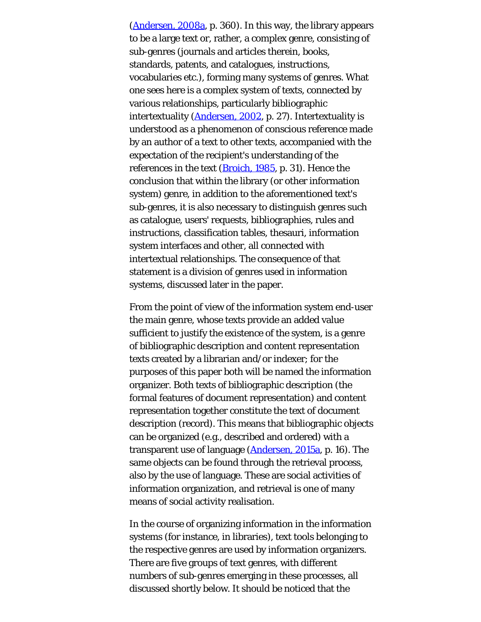([Andersen, 2008a,](#page-43-0) p. 360). In this way, the library appears to be a large text or, rather, a complex genre, consisting of sub-genres (journals and articles therein, books, standards, patents, and catalogues, instructions, vocabularies etc.), forming many systems of genres. What one sees here is a complex system of texts, connected by various relationships, particularly bibliographic intertextuality [\(Andersen, 2002](#page-43-0), p. 27). Intertextuality is understood as a phenomenon of conscious reference made by an author of a text to other texts, accompanied with the expectation of the recipient's understanding of the references in the text [\(Broich, 1985](#page-43-0), p. 31). Hence the conclusion that within the library (or other information system) genre, in addition to the aforementioned text's sub-genres, it is also necessary to distinguish genres such as catalogue, users' requests, bibliographies, rules and instructions, classification tables, thesauri, information system interfaces and other, all connected with intertextual relationships. The consequence of that statement is a division of genres used in information systems, discussed later in the paper.

From the point of view of the information system end-user the main genre, whose texts provide an added value sufficient to justify the existence of the system, is a genre of bibliographic description and content representation texts created by a librarian and/or indexer; for the purposes of this paper both will be named the information organizer. Both texts of bibliographic description (the formal features of document representation) and content representation together constitute the text of document description (record). This means that bibliographic objects can be organized (e.g., described and ordered) with a transparent use of language [\(Andersen, 2015a](#page-43-0), p. 16). The same objects can be found through the retrieval process, also by the use of language. These are social activities of information organization, and retrieval is one of many means of social activity realisation.

In the course of organizing information in the information systems (for instance, in libraries), text tools belonging to the respective genres are used by information organizers. There are five groups of text genres, with different numbers of sub-genres emerging in these processes, all discussed shortly below. It should be noticed that the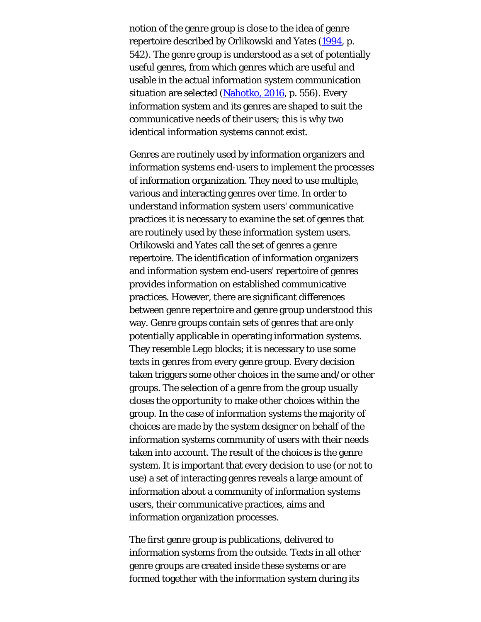notion of the genre group is close to the idea of genre repertoire described by Orlikowski and Yates [\(1994](#page-43-0), p. 542). The genre group is understood as a set of potentially useful genres, from which genres which are useful and usable in the actual information system communication situation are selected ([Nahotko, 2016](#page-43-0), p. 556). Every information system and its genres are shaped to suit the communicative needs of their users; this is why two identical information systems cannot exist.

Genres are routinely used by information organizers and information systems end-users to implement the processes of information organization. They need to use multiple, various and interacting genres over time. In order to understand information system users' communicative practices it is necessary to examine the set of genres that are routinely used by these information system users. Orlikowski and Yates call the set of genres a genre repertoire. The identification of information organizers and information system end-users' repertoire of genres provides information on established communicative practices. However, there are significant differences between genre repertoire and genre group understood this way. Genre groups contain sets of genres that are only potentially applicable in operating information systems. They resemble Lego blocks; it is necessary to use some texts in genres from every genre group. Every decision taken triggers some other choices in the same and/or other groups. The selection of a genre from the group usually closes the opportunity to make other choices within the group. In the case of information systems the majority of choices are made by the system designer on behalf of the information systems community of users with their needs taken into account. The result of the choices is the genre system. It is important that every decision to use (or not to use) a set of interacting genres reveals a large amount of information about a community of information systems users, their communicative practices, aims and information organization processes.

The first genre group is publications, delivered to information systems from the outside. Texts in all other genre groups are created inside these systems or are formed together with the information system during its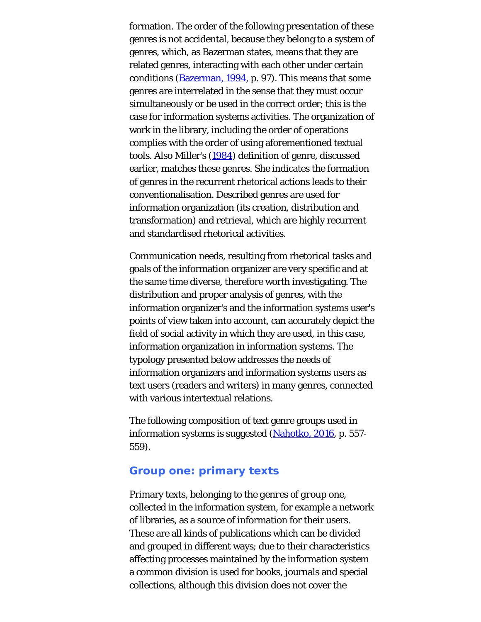formation. The order of the following presentation of these genres is not accidental, because they belong to a system of genres, which, as Bazerman states, means that they are related genres, interacting with each other under certain conditions ([Bazerman, 1994](#page-43-0), p. 97). This means that some genres are interrelated in the sense that they must occur simultaneously or be used in the correct order; this is the case for information systems activities. The organization of work in the library, including the order of operations complies with the order of using aforementioned textual tools. Also Miller's ([1984\)](#page-43-0) definition of genre, discussed earlier, matches these genres. She indicates the formation of genres in the recurrent rhetorical actions leads to their conventionalisation. Described genres are used for information organization (its creation, distribution and transformation) and retrieval, which are highly recurrent and standardised rhetorical activities.

Communication needs, resulting from rhetorical tasks and goals of the information organizer are very specific and at the same time diverse, therefore worth investigating. The distribution and proper analysis of genres, with the information organizer's and the information systems user's points of view taken into account, can accurately depict the field of social activity in which they are used, in this case, information organization in information systems. The typology presented below addresses the needs of information organizers and information systems users as text users (readers and writers) in many genres, connected with various intertextual relations.

The following composition of text genre groups used in information systems is suggested [\(Nahotko, 2016](#page-43-0), p. 557-559).

### **Group one: primary texts**

Primary texts, belonging to the *genres of group one*, collected in the information system, for example a network of libraries, as a source of information for their users. These are all kinds of publications which can be divided and grouped in different ways; due to their characteristics affecting processes maintained by the information system a common division is used for books, journals and special collections, although this division does not cover the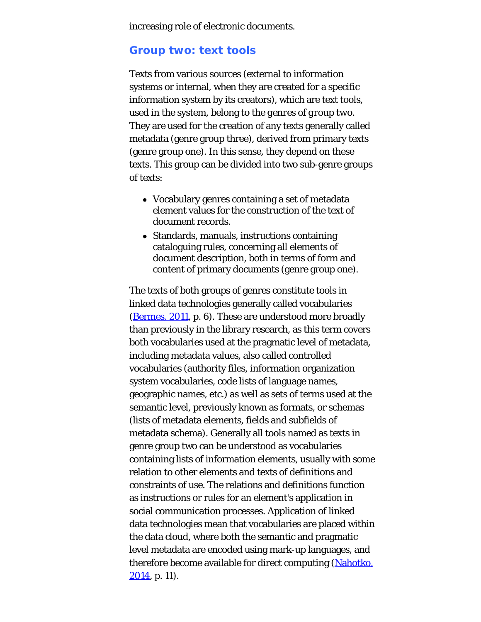increasing role of electronic documents.

## **Group two: text tools**

Texts from various sources (external to information systems or internal, when they are created for a specific information system by its creators), which are text tools, used in the system, belong to the *genres of group two*. They are used for the creation of any texts generally called metadata (genre group three), derived from primary texts (genre group one). In this sense, they depend on these texts. This group can be divided into two sub-genre groups of texts:

- Vocabulary genres containing a set of metadata element values for the construction of the text of document records.
- Standards, manuals, instructions containing cataloguing rules, concerning all elements of document description, both in terms of form and content of primary documents (genre group one).

The texts of both groups of genres constitute tools in linked data technologies generally called vocabularies ([Bermes, 2011,](#page-43-0) p. 6). These are understood more broadly than previously in the library research, as this term covers both vocabularies used at the pragmatic level of metadata, including metadata values, also called controlled vocabularies (authority files, information organization system vocabularies, code lists of language names, geographic names, etc.) as well as sets of terms used at the semantic level, previously known as formats, or schemas (lists of metadata elements, fields and subfields of metadata schema). Generally all tools named as texts in genre group two can be understood as vocabularies containing lists of information elements, usually with some relation to other elements and texts of definitions and constraints of use. The relations and definitions function as instructions or rules for an element's application in social communication processes. Application of linked data technologies mean that vocabularies are placed within the data cloud, where both the semantic and pragmatic level metadata are encoded using mark-up languages, and therefore become available for direct computing ([Nahotko,](#page-43-0)  $2014$ , p. 11).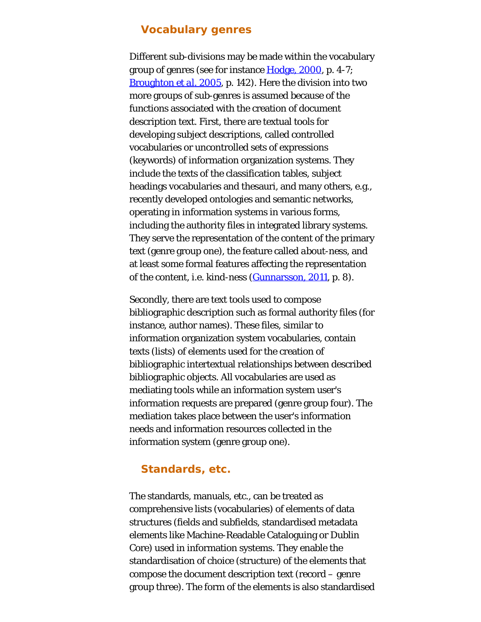## **Vocabulary genres**

Different sub-divisions may be made within the vocabulary group of genres (see for instance [Hodge, 2000](#page-43-0), p. 4-7; [Broughton](#page-43-0) *[et al](#page-43-0)*[. 2005](#page-43-0), p. 142). Here the division into two more groups of sub-genres is assumed because of the functions associated with the creation of document description text. First, there are textual tools for developing subject descriptions, called controlled vocabularies or uncontrolled sets of expressions (keywords) of information organization systems. They include the texts of the classification tables, subject headings vocabularies and thesauri, and many others, e.g., recently developed ontologies and semantic networks, operating in information systems in various forms, including the authority files in integrated library systems. They serve the representation of the content of the primary text (genre group one), the feature called *about-ness*, and at least some formal features affecting the representation of the content, i.e. *kind-ness* [\(Gunnarsson, 2011](#page-43-0), p. 8).

Secondly, there are text tools used to compose bibliographic description such as formal authority files (for instance, author names). These files, similar to information organization system vocabularies, contain texts (lists) of elements used for the creation of bibliographic intertextual relationships between described bibliographic objects. All vocabularies are used as mediating tools while an information system user's information requests are prepared (genre group four). The mediation takes place between the user's information needs and information resources collected in the information system (genre group one).

### **Standards, etc.**

The standards, manuals, etc., can be treated as comprehensive lists (vocabularies) of elements of data structures (fields and subfields, standardised metadata elements like Machine-Readable Cataloguing or Dublin Core) used in information systems. They enable the standardisation of choice (structure) of the elements that compose the document description text (record – genre group three). The form of the elements is also standardised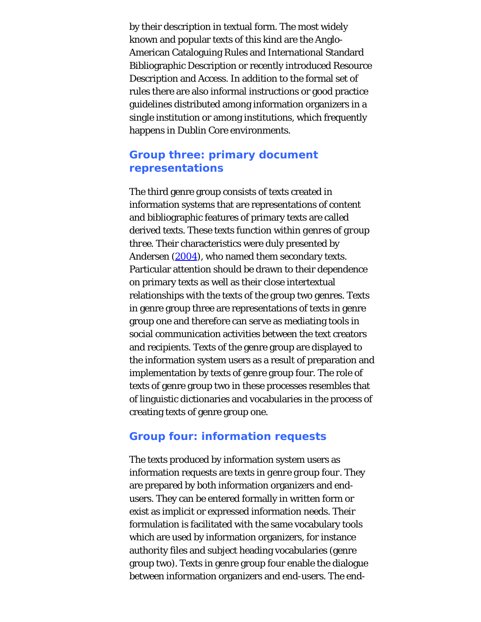by their description in textual form. The most widely known and popular texts of this kind are the Anglo-American Cataloguing Rules and International Standard Bibliographic Description or recently introduced Resource Description and Access. In addition to the formal set of rules there are also informal instructions or good practice guidelines distributed among information organizers in a single institution or among institutions, which frequently happens in Dublin Core environments.

## **Group three: primary document representations**

The third genre group consists of texts created in information systems that are representations of content and bibliographic features of primary texts are called derived texts. These texts function within *genres of group three*. Their characteristics were duly presented by Andersen [\(2004](#page-43-0)), who named them secondary texts. Particular attention should be drawn to their dependence on primary texts as well as their close intertextual relationships with the texts of the group two genres. Texts in genre group three are representations of texts in genre group one and therefore can serve as mediating tools in social communication activities between the text creators and recipients. Texts of the genre group are displayed to the information system users as a result of preparation and implementation by texts of genre group four. The role of texts of genre group two in these processes resembles that of linguistic dictionaries and vocabularies in the process of creating texts of genre group one.

## **Group four: information requests**

The texts produced by information system users as information requests are texts in *genre group four*. They are prepared by both information organizers and endusers. They can be entered formally in written form or exist as implicit or expressed information needs. Their formulation is facilitated with the same vocabulary tools which are used by information organizers, for instance authority files and subject heading vocabularies (genre group two). Texts in genre group four enable the dialogue between information organizers and end-users. The end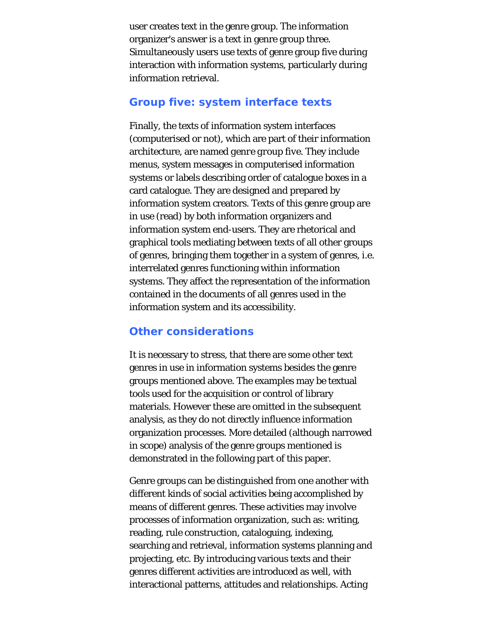user creates text in the genre group. The information organizer's answer is a text in genre group three. Simultaneously users use texts of genre group five during interaction with information systems, particularly during information retrieval.

## **Group five: system interface texts**

Finally, the texts of information system interfaces (computerised or not), which are part of their information architecture, are named *genre group five*. They include menus, system messages in computerised information systems or labels describing order of catalogue boxes in a card catalogue. They are designed and prepared by information system creators. Texts of this genre group are in use (read) by both information organizers and information system end-users. They are rhetorical and graphical tools mediating between texts of all other groups of genres, bringing them together in a system of genres, i.e. interrelated genres functioning within information systems. They affect the representation of the information contained in the documents of all genres used in the information system and its accessibility.

## **Other considerations**

It is necessary to stress, that there are some other text genres in use in information systems besides the genre groups mentioned above. The examples may be textual tools used for the acquisition or control of library materials. However these are omitted in the subsequent analysis, as they do not directly influence information organization processes. More detailed (although narrowed in scope) analysis of the genre groups mentioned is demonstrated in the following part of this paper.

Genre groups can be distinguished from one another with different kinds of social activities being accomplished by means of different genres. These activities may involve processes of information organization, such as: writing, reading, rule construction, cataloguing, indexing, searching and retrieval, information systems planning and projecting, etc. By introducing various texts and their genres different activities are introduced as well, with interactional patterns, attitudes and relationships. Acting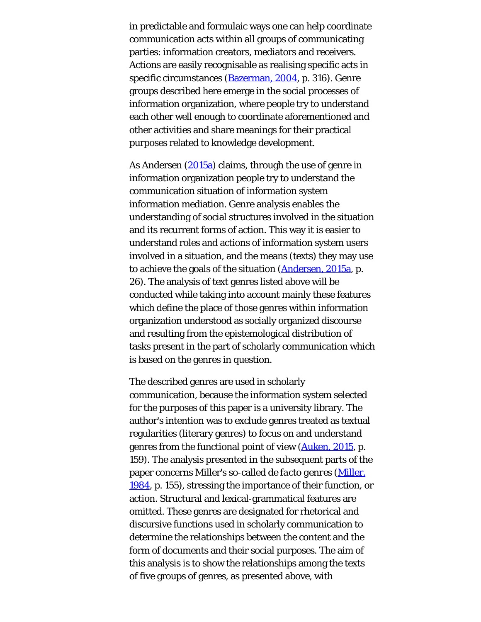in predictable and formulaic ways one can help coordinate communication acts within all groups of communicating parties: information creators, mediators and receivers. Actions are easily recognisable as realising specific acts in specific circumstances [\(Bazerman, 2004](#page-43-0), p. 316). Genre groups described here emerge in the social processes of information organization, where people try to understand each other well enough to coordinate aforementioned and other activities and share meanings for their practical purposes related to knowledge development.

As Andersen ([2015a\)](#page-43-0) claims, through the use of genre in information organization people try to understand the communication situation of information system information mediation. Genre analysis enables the understanding of social structures involved in the situation and its recurrent forms of action. This way it is easier to understand roles and actions of information system users involved in a situation, and the means (texts) they may use to achieve the goals of the situation [\(Andersen, 2015a](#page-43-0), p. 26). The analysis of text genres listed above will be conducted while taking into account mainly these features which define the place of those genres within information organization understood as socially organized discourse and resulting from the epistemological distribution of tasks present in the part of scholarly communication which is based on the genres in question.

The described genres are used in scholarly communication, because the information system selected for the purposes of this paper is a university library. The author's intention was to exclude genres treated as textual regularities (literary genres) to focus on and understand genres from the functional point of view ([Auken, 2015](#page-43-0), p. 159). The analysis presented in the subsequent parts of the paper concerns Miller's so-called *de facto genres* [\(Miller,](#page-43-0) [1984,](#page-43-0) p. 155), stressing the importance of their function, or action. Structural and lexical-grammatical features are omitted. These genres are designated for rhetorical and discursive functions used in scholarly communication to determine the relationships between the content and the form of documents and their social purposes. The aim of this analysis is to show the relationships among the texts of five groups of genres, as presented above, with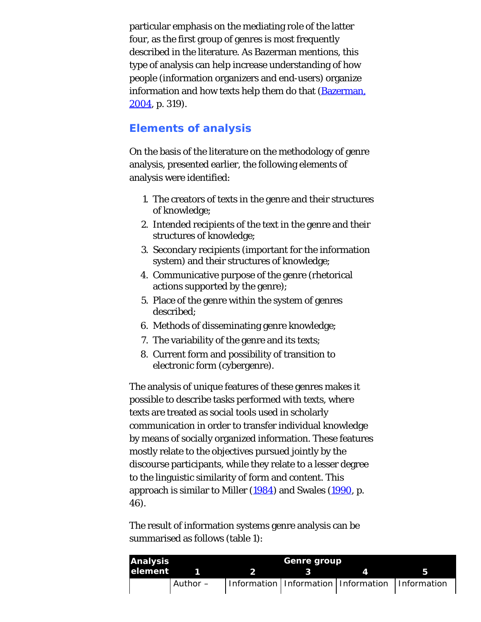particular emphasis on the mediating role of the latter four, as the first group of genres is most frequently described in the literature. As Bazerman mentions, this type of analysis can help increase understanding of how people (information organizers and end-users) organize information and how texts help them do that [\(Bazerman,](#page-43-0)  $2004$ , p. 319).

## **Elements of analysis**

On the basis of the literature on the methodology of genre analysis, presented earlier, the following elements of analysis were identified:

- 1. The creators of texts in the genre and their structures of knowledge;
- 2. Intended recipients of the text in the genre and their structures of knowledge;
- 3. Secondary recipients (important for the information system) and their structures of knowledge;
- 4. Communicative purpose of the genre (rhetorical actions supported by the genre);
- 5. Place of the genre within the system of genres described;
- 6. Methods of disseminating genre knowledge;
- 7. The variability of the genre and its texts;
- 8. Current form and possibility of transition to electronic form (cybergenre).

The analysis of unique features of these genres makes it possible to describe tasks performed with texts, where texts are treated as social tools used in scholarly communication in order to transfer individual knowledge by means of socially organized information. These features mostly relate to the objectives pursued jointly by the discourse participants, while they relate to a lesser degree to the linguistic similarity of form and content. This approach is similar to Miller [\(1984](#page-43-0)) and Swales [\(1990](#page-43-1), p. 46).

The result of information systems genre analysis can be summarised as follows (table 1):

| <b>Analysis</b> |          | Genre group |  |                                                       |  |  |
|-----------------|----------|-------------|--|-------------------------------------------------------|--|--|
| <b>lelement</b> |          | - 2         |  |                                                       |  |  |
|                 | Author – |             |  | Information   Information   Information   Information |  |  |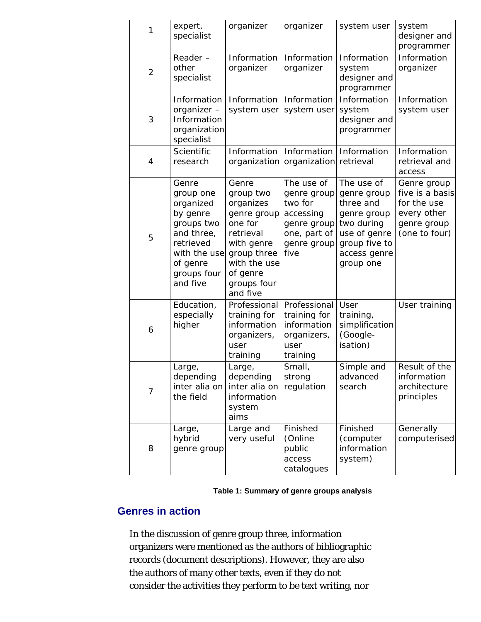| 1              | expert,<br>specialist                                                                                                                       | organizer                                                                                                                                                  | organizer                                                                                               | system user                                                                                                                       | system<br>designer and<br>programmer                                                         |
|----------------|---------------------------------------------------------------------------------------------------------------------------------------------|------------------------------------------------------------------------------------------------------------------------------------------------------------|---------------------------------------------------------------------------------------------------------|-----------------------------------------------------------------------------------------------------------------------------------|----------------------------------------------------------------------------------------------|
| $\overline{2}$ | Reader-<br>other<br>specialist                                                                                                              | Information<br>organizer                                                                                                                                   | Information<br>organizer                                                                                | Information<br>system<br>designer and<br>programmer                                                                               | Information<br>organizer                                                                     |
| 3              | Information<br>organizer-<br>Information<br>organization<br>specialist                                                                      | Information<br>system user                                                                                                                                 | Information<br>system user                                                                              | Information<br>system<br>designer and<br>programmer                                                                               | Information<br>system user                                                                   |
| 4              | Scientific<br>research                                                                                                                      | Information                                                                                                                                                | Information<br>organization organization retrieval                                                      | Information                                                                                                                       | Information<br>retrieval and<br>access                                                       |
| 5              | Genre<br>group one<br>organized<br>by genre<br>groups two<br>and three,<br>retrieved<br>with the use<br>of genre<br>groups four<br>and five | Genre<br>group two<br>organizes<br>genre group<br>one for<br>retrieval<br>with genre<br>group three<br>with the use<br>of genre<br>groups four<br>and five | The use of<br>genre group<br>two for<br>accessing<br>genre group<br>one, part of<br>genre group<br>five | The use of<br>genre group<br>three and<br>genre group<br>two during<br>use of genre<br>group five to<br>access genre<br>group one | Genre group<br>five is a basis<br>for the use<br>every other<br>genre group<br>(one to four) |
| 6              | Education,<br>especially<br>higher                                                                                                          | Professional<br>training for<br>information<br>organizers,<br>user<br>training                                                                             | Professional<br>training for<br>information<br>organizers,<br>user<br>training                          | User<br>training,<br>simplification<br>(Google-<br>isation)                                                                       | User training                                                                                |
| $\overline{7}$ | Large,<br>depending<br>inter alia on<br>the field                                                                                           | Large,<br>depending<br>inter alia on<br>information<br>system<br>aims                                                                                      | Small,<br>strong<br>regulation                                                                          | Simple and<br>advanced<br>search                                                                                                  | Result of the<br>information<br>architecture<br>principles                                   |
| 8              | Large,<br>hybrid<br>genre group                                                                                                             | Large and<br>very useful                                                                                                                                   | Finished<br>(Online<br>public<br>access<br>catalogues                                                   | Finished<br>(computer<br>information<br>system)                                                                                   | Generally<br>computerised                                                                    |

| Table 1: Summary of genre groups analysis |  |  |  |  |
|-------------------------------------------|--|--|--|--|
|-------------------------------------------|--|--|--|--|

## **Genres in action**

In the discussion of genre group three, information organizers were mentioned as the authors of bibliographic records (document descriptions). However, they are also the authors of many other texts, even if they do not consider the activities they perform to be text writing, nor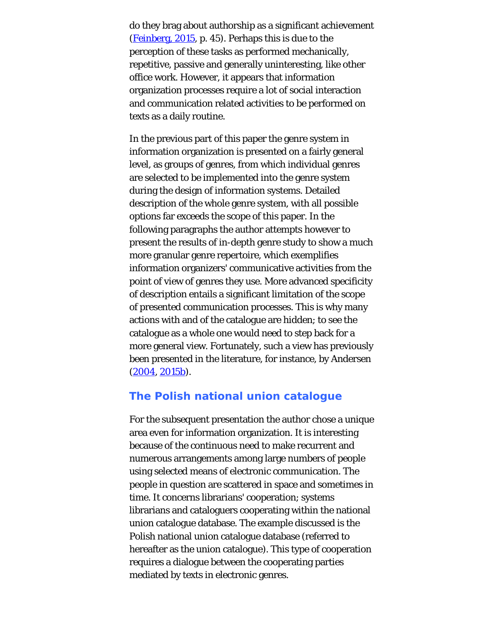do they brag about authorship as a significant achievement ([Feinberg, 2015,](#page-43-0) p. 45). Perhaps this is due to the perception of these tasks as performed mechanically, repetitive, passive and generally uninteresting, like other office work. However, it appears that information organization processes require a lot of social interaction and communication related activities to be performed on texts as a daily routine.

In the previous part of this paper the genre system in information organization is presented on a fairly general level, as groups of genres, from which individual genres are selected to be implemented into the genre system during the design of information systems. Detailed description of the whole genre system, with all possible options far exceeds the scope of this paper. In the following paragraphs the author attempts however to present the results of in-depth genre study to show a much more granular genre repertoire, which exemplifies information organizers' communicative activities from the point of view of genres they use. More advanced specificity of description entails a significant limitation of the scope of presented communication processes. This is why many actions with and of the catalogue are hidden; to see the catalogue as a whole one would need to step back for a more general view. Fortunately, such a view has previously been presented in the literature, for instance, by Andersen ([2004](#page-43-0), [2015b](#page-43-0)).

## **The Polish national union catalogue**

For the subsequent presentation the author chose a unique area even for information organization. It is interesting because of the continuous need to make recurrent and numerous arrangements among large numbers of people using selected means of electronic communication. The people in question are scattered in space and sometimes in time. It concerns librarians' cooperation; systems librarians and cataloguers cooperating within the national union catalogue database. The example discussed is the Polish national union catalogue database (referred to hereafter as the union catalogue). This type of cooperation requires a dialogue between the cooperating parties mediated by texts in electronic genres.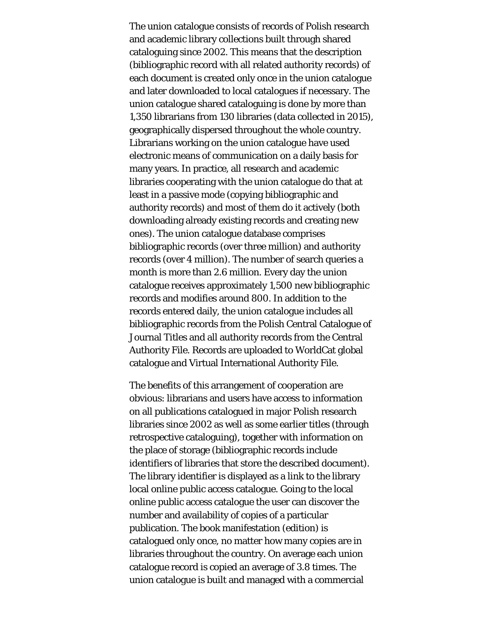The union catalogue consists of records of Polish research and academic library collections built through shared cataloguing since 2002. This means that the description (bibliographic record with all related authority records) of each document is created only once in the union catalogue and later downloaded to local catalogues if necessary. The union catalogue shared cataloguing is done by more than 1,350 librarians from 130 libraries (data collected in 2015), geographically dispersed throughout the whole country. Librarians working on the union catalogue have used electronic means of communication on a daily basis for many years. In practice, all research and academic libraries cooperating with the union catalogue do that at least in a passive mode (copying bibliographic and authority records) and most of them do it actively (both downloading already existing records and creating new ones). The union catalogue database comprises bibliographic records (over three million) and authority records (over 4 million). The number of search queries a month is more than 2.6 million. Every day the union catalogue receives approximately 1,500 new bibliographic records and modifies around 800. In addition to the records entered daily, the union catalogue includes all bibliographic records from the Polish Central Catalogue of Journal Titles and all authority records from the Central Authority File. Records are uploaded to WorldCat global catalogue and Virtual International Authority File.

The benefits of this arrangement of cooperation are obvious: librarians and users have access to information on all publications catalogued in major Polish research libraries since 2002 as well as some earlier titles (through retrospective cataloguing), together with information on the place of storage (bibliographic records include identifiers of libraries that store the described document). The library identifier is displayed as a link to the library local online public access catalogue. Going to the local online public access catalogue the user can discover the number and availability of copies of a particular publication. The book manifestation (edition) is catalogued only once, no matter how many copies are in libraries throughout the country. On average each union catalogue record is copied an average of 3.8 times. The union catalogue is built and managed with a commercial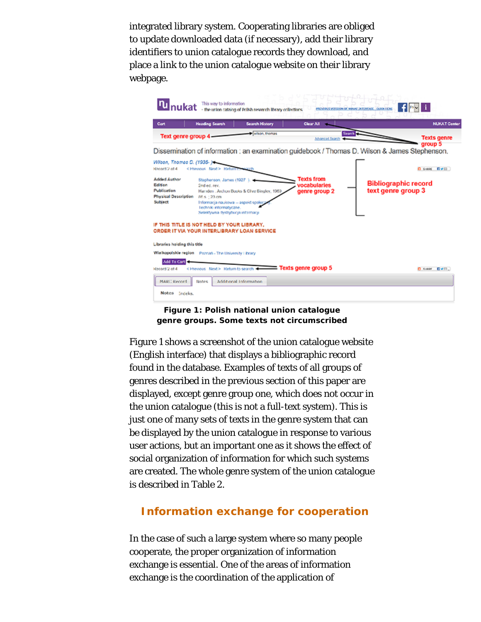integrated library system. Cooperating libraries are obliged to update downloaded data (if necessary), add their library identifiers to union catalogue records they download, and place a link to the union catalogue website on their library webpage.

|                                                                                           | This way to information                                                                                                                                          | - the union catalog of Polish research library collections.                     |                                                    | PROVIDUS VOISCON OF WINAT INTERFACE CLEON FICKE                                                | -fleviil                      |
|-------------------------------------------------------------------------------------------|------------------------------------------------------------------------------------------------------------------------------------------------------------------|---------------------------------------------------------------------------------|----------------------------------------------------|------------------------------------------------------------------------------------------------|-------------------------------|
| Cart                                                                                      | <b>Heading Search</b>                                                                                                                                            | <b>Search History</b>                                                           | Clear All (19)                                     |                                                                                                | <b>NUKAT Center</b>           |
| Text genre group 4-                                                                       |                                                                                                                                                                  | when, themas                                                                    | <b>Advanced Search</b>                             | <b>Search</b>                                                                                  | <b>Texts genre</b><br>group 5 |
|                                                                                           |                                                                                                                                                                  |                                                                                 |                                                    | Dissemination of information : an examination guidebook / Thomas D. Wilson & James Stephenson. |                               |
| Wilson, Thomas D. (1935-)<br>Record 2 of 4                                                | <freenous next=""> Return t</freenous>                                                                                                                           |                                                                                 |                                                    |                                                                                                | C ses nvm                     |
| <b>Added Author</b><br>Edition<br>Publication<br><b>Physical Description</b><br>Subject   | Staphenson, James (1927).<br>2nd ed. rev.<br>86 s : 23 cm<br>Informacja naukowa -- aspekt spoke;<br>Techniki intormatyczne.<br>Selektywna dystrybucja informacji | Harnden . Archon Books & Clive Bingley, 1969.                                   | <b>Texts from</b><br>vocabularies<br>genre group 2 | <b>Bibliographic record</b><br>text genre group 3                                              |                               |
| IF THIS TITLE IS NOT HELD BY YOUR LIBRARY.<br>ORDER IT VIA YOUR INTERLIBRARY LOAN SERVICE |                                                                                                                                                                  |                                                                                 |                                                    |                                                                                                |                               |
| Libraries holding this title                                                              |                                                                                                                                                                  |                                                                                 |                                                    |                                                                                                |                               |
| Wielkopolskie region Poznań - The University Library                                      |                                                                                                                                                                  |                                                                                 |                                                    |                                                                                                |                               |
| Add To Cart<br>Record 2 of 4                                                              |                                                                                                                                                                  | <previous next=""> Return to search &lt;&gt;&gt; Texts genre group 5</previous> |                                                    |                                                                                                | C Seasy Dwill                 |
| MARC Record<br>Notes Indeks.                                                              | Notes                                                                                                                                                            | Additional Information                                                          |                                                    |                                                                                                |                               |



Figure 1 shows a screenshot of the union catalogue website (English interface) that displays a bibliographic record found in the database. Examples of texts of all groups of genres described in the previous section of this paper are displayed, except genre group one, which does not occur in the union catalogue (this is not a full-text system). This is just one of many sets of texts in the genre system that can be displayed by the union catalogue in response to various user actions, but an important one as it shows the effect of social organization of information for which such systems are created. The whole genre system of the union catalogue is described in Table 2.

## **Information exchange for cooperation**

In the case of such a large system where so many people cooperate, the proper organization of information exchange is essential. One of the areas of information exchange is the coordination of the application of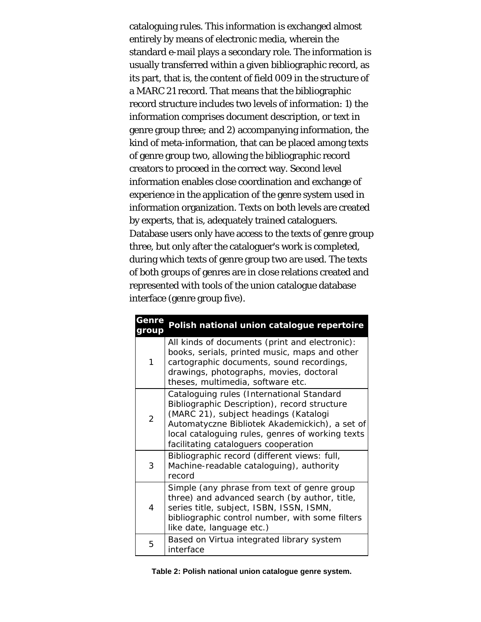cataloguing rules. This information is exchanged almost entirely by means of electronic media, wherein the standard e-mail plays a secondary role. The information is usually transferred within a given bibliographic record, as its part, that is, the content of field 009 in the structure of a MARC 21 record. That means that the bibliographic record structure includes two levels of information: 1) the information comprises document description, or text in genre group three; and 2) accompanying information, the kind of meta-information, that can be placed among texts of genre group two, allowing the bibliographic record creators to proceed in the correct way. Second level information enables close coordination and exchange of experience in the application of the genre system used in information organization. Texts on both levels are created by experts, that is, adequately trained cataloguers. Database users only have access to the texts of genre group three, but only after the cataloguer's work is completed, during which texts of genre group two are used. The texts of both groups of genres are in close relations created and represented with tools of the union catalogue database interface (genre group five).

| <b>Genre</b><br>'oup | Polish national union catalogue repertoire                                                                                                                                                                                                                                       |
|----------------------|----------------------------------------------------------------------------------------------------------------------------------------------------------------------------------------------------------------------------------------------------------------------------------|
| 1                    | All kinds of documents (print and electronic):<br>books, serials, printed music, maps and other<br>cartographic documents, sound recordings,<br>drawings, photographs, movies, doctoral<br>theses, multimedia, software etc.                                                     |
| $\overline{2}$       | Cataloguing rules (International Standard<br>Bibliographic Description), record structure<br>(MARC 21), subject headings (Katalogi<br>Automatyczne Bibliotek Akademickich), a set of<br>local cataloguing rules, genres of working texts<br>facilitating cataloguers cooperation |
| 3                    | Bibliographic record (different views: full,<br>Machine-readable cataloguing), authority<br>record                                                                                                                                                                               |
| $\overline{4}$       | Simple (any phrase from text of genre group<br>three) and advanced search (by author, title,<br>series title, subject, ISBN, ISSN, ISMN,<br>bibliographic control number, with some filters<br>like date, language etc.)                                                         |
| 5                    | Based on Virtua integrated library system<br>interface                                                                                                                                                                                                                           |

| Table 2: Polish national union catalogue genre system. |  |  |  |
|--------------------------------------------------------|--|--|--|
|--------------------------------------------------------|--|--|--|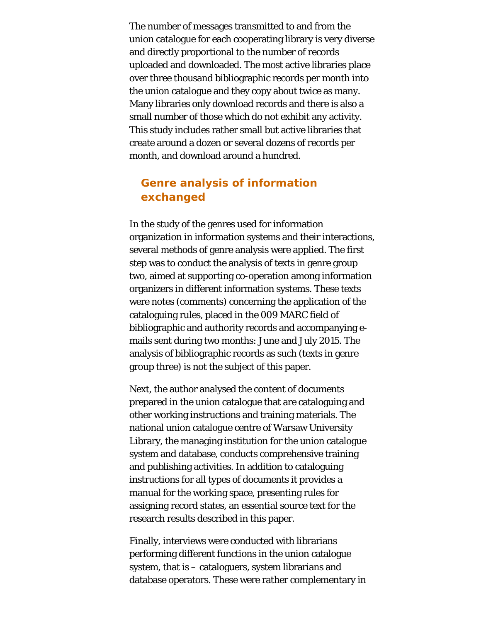The number of messages transmitted to and from the union catalogue for each cooperating library is very diverse and directly proportional to the number of records uploaded and downloaded. The most active libraries place over three thousand bibliographic records per month into the union catalogue and they copy about twice as many. Many libraries only download records and there is also a small number of those which do not exhibit any activity. This study includes rather small but active libraries that create around a dozen or several dozens of records per month, and download around a hundred.

## **Genre analysis of information exchanged**

In the study of the genres used for information organization in information systems and their interactions, several methods of genre analysis were applied. The first step was to conduct the analysis of texts in genre group two, aimed at supporting co-operation among information organizers in different information systems. These texts were notes (comments) concerning the application of the cataloguing rules, placed in the 009 MARC field of bibliographic and authority records and accompanying emails sent during two months: June and July 2015. The analysis of bibliographic records as such (texts in genre group three) is not the subject of this paper.

Next, the author analysed the content of documents prepared in the union catalogue that are cataloguing and other working instructions and training materials. The national union catalogue centre of Warsaw University Library, the managing institution for the union catalogue system and database, conducts comprehensive training and publishing activities. In addition to cataloguing instructions for all types of documents it provides a manual for the working space, presenting rules for assigning record states, an essential source text for the research results described in this paper.

Finally, interviews were conducted with librarians performing different functions in the union catalogue system, that is – cataloguers, system librarians and database operators. These were rather complementary in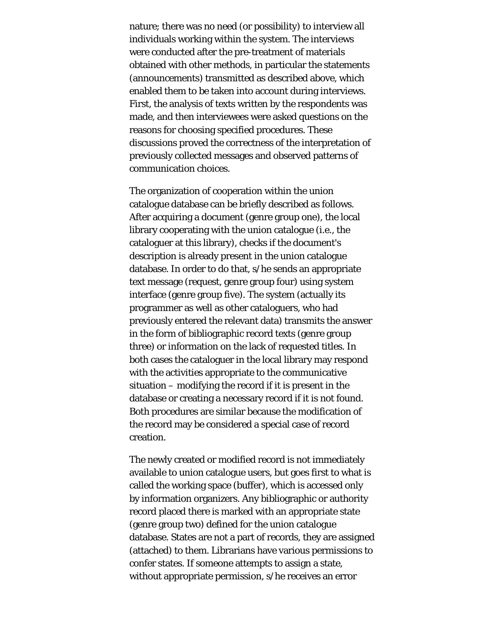nature; there was no need (or possibility) to interview all individuals working within the system. The interviews were conducted after the pre-treatment of materials obtained with other methods, in particular the statements (announcements) transmitted as described above, which enabled them to be taken into account during interviews. First, the analysis of texts written by the respondents was made, and then interviewees were asked questions on the reasons for choosing specified procedures. These discussions proved the correctness of the interpretation of previously collected messages and observed patterns of communication choices.

The organization of cooperation within the union catalogue database can be briefly described as follows. After acquiring a document (genre group one), the local library cooperating with the union catalogue (i.e., the cataloguer at this library), checks if the document's description is already present in the union catalogue database. In order to do that, s/he sends an appropriate text message (request, genre group four) using system interface (genre group five). The system (actually its programmer as well as other cataloguers, who had previously entered the relevant data) transmits the answer in the form of bibliographic record texts (genre group three) or information on the lack of requested titles. In both cases the cataloguer in the local library may respond with the activities appropriate to the communicative situation – modifying the record if it is present in the database or creating a necessary record if it is not found. Both procedures are similar because the modification of the record may be considered a special case of record creation.

The newly created or modified record is not immediately available to union catalogue users, but goes first to what is called the working space (buffer), which is accessed only by information organizers. Any bibliographic or authority record placed there is marked with an appropriate state (genre group two) defined for the union catalogue database. States are not a part of records, they are assigned (attached) to them. Librarians have various permissions to confer states. If someone attempts to assign a state, without appropriate permission, s/he receives an error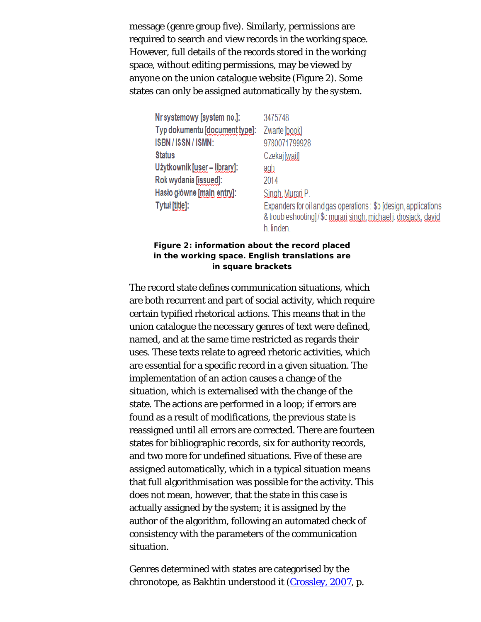message (genre group five). Similarly, permissions are required to search and view records in the working space. However, full details of the records stored in the working space, without editing permissions, may be viewed by anyone on the union catalogue website (Figure 2). Some states can only be assigned automatically *by the system*.

| Nr systemowy [system no.]:     | 3475748                                                                                                                                          |
|--------------------------------|--------------------------------------------------------------------------------------------------------------------------------------------------|
| Typ dokumentu [document type]: | Zwarte [book]                                                                                                                                    |
| ISBN/ISSN/ISMN:                | 9780071799928                                                                                                                                    |
| <b>Status</b>                  | Czekaj [wait]                                                                                                                                    |
| Użytkownik [user – library]:   | agh                                                                                                                                              |
| Rok wydania [issued]:          | 2014                                                                                                                                             |
| Haslo główne [main entry]:     | Singh, Murari P.                                                                                                                                 |
| Tytuł [title]:                 | Expanders for oil and gas operations: \$b [design, applications]<br>& troubleshooting]/\$c murari singh, michael j drosjack, david<br>h. linden. |

#### **Figure 2: information about the record placed in the working space. English translations are in square brackets**

The record state defines communication situations, which are both recurrent and part of social activity, which require certain typified rhetorical actions. This means that in the union catalogue the necessary genres of text were defined, named, and at the same time restricted as regards their uses. These texts relate to agreed rhetoric activities, which are essential for a specific record in a given situation. The implementation of an action causes a change of the situation, which is externalised with the change of the state. The actions are performed in a loop; if errors are found as a result of modifications, the previous state is reassigned until all errors are corrected. There are fourteen states for bibliographic records, six for authority records, and two more for undefined situations. Five of these are assigned automatically, which in a typical situation means that full algorithmisation was possible for the activity. This does not mean, however, that the state in this case is actually assigned by the system; it is assigned by the author of the algorithm, following an automated check of consistency with the parameters of the communication situation.

Genres determined with states are categorised by the chronotope, as Bakhtin understood it [\(Crossley, 2007](#page-43-0), p.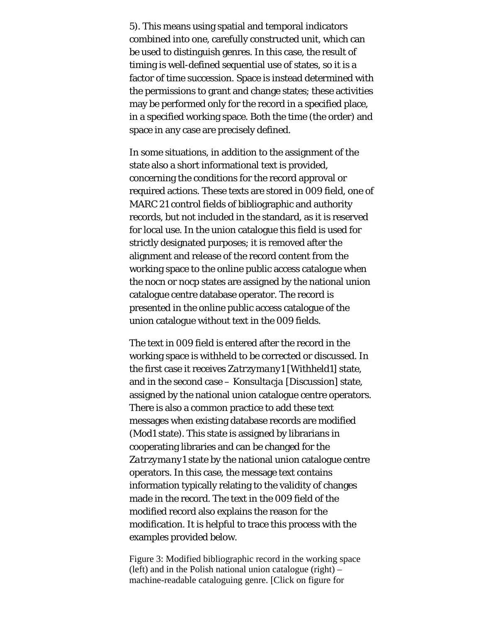5). This means using spatial and temporal indicators combined into one, carefully constructed unit, which can be used to distinguish genres. In this case, the result of timing is well-defined sequential use of states, so it is a factor of time succession. Space is instead determined with the permissions to grant and change states; these activities may be performed only for the record in a specified place, in a specified working space. Both the time (the order) and space in any case are precisely defined.

In some situations, in addition to the assignment of the state also a short informational text is provided, concerning the conditions for the record approval or required actions. These texts are stored in 009 field, one of MARC 21 control fields of bibliographic and authority records, but not included in the standard, as it is reserved for local use. In the union catalogue this field is used for strictly designated purposes; it is removed after the alignment and release of the record content from the working space to the online public access catalogue when the *nocn* or *nocp* states are assigned by the national union catalogue centre database operator. The record is presented in the online public access catalogue of the union catalogue without text in the 009 fields.

The text in 009 field is entered after the record in the working space is withheld to be corrected or discussed. In the first case it receives *Zatrzymany1* [Withheld1] state, and in the second case – *Konsultacja* [Discussion] state, assigned by the national union catalogue centre operators. There is also a common practice to add these text messages when existing database records are modified (*Mod1* state). This state is assigned by librarians in cooperating libraries and can be changed for the *Zatrzymany1* state by the national union catalogue centre operators. In this case, the message text contains information typically relating to the validity of changes made in the record. The text in the 009 field of the modified record also explains the reason for the modification. It is helpful to trace this process with the examples provided below.

Figure 3: Modified bibliographic record in the working space  $(left)$  and in the Polish national union catalogue  $(right)$  – machine-readable cataloguing genre. [Click on figure for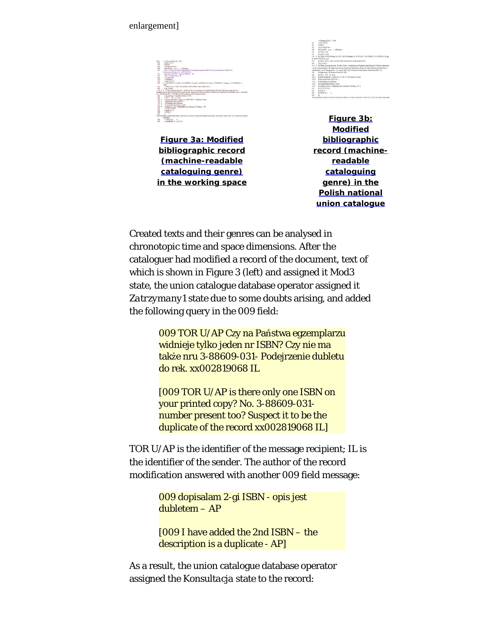### enlargement]

| t bit             | 01707 am 47200149 / 4500                                                                                                           |
|-------------------|------------------------------------------------------------------------------------------------------------------------------------|
| 408               | VEHICLE 714, 2144                                                                                                                  |
| 805               | <b>STURAT</b>                                                                                                                      |
| aoni              | 2012/04/01 05:00:00                                                                                                                |
| 035               | 130306-1981 pr a = 1300 Odenic                                                                                                     |
| m                 | TOR U/AP City as Patients aggregately wide on NHz when at DEST City are no full to use 1.11400.011                                 |
| 14                | Poderments dubben do not undifferents if.                                                                                          |
| 65E<br><b>bob</b> | American 2 as DSN - peacent Address - AP                                                                                           |
| 633               | TOR CAP brancherin 30<br>a 2301107248                                                                                              |
| 633               | 14.550090310                                                                                                                       |
| <b>DO</b>         | am002742188                                                                                                                        |
| exp.              | # To 20130601153 W 458 To 265 56390911 M Guidi V 20030111115 M Guidi V 20040410134 M See 2014 12:56 2015                           |
|                   | <b>Strait</b>                                                                                                                      |
| 642               | a TOR USAP is TOR USAP A TOR USAP VI TOR UNIN VAKE 29130                                                                           |
| 000               | $-38.97922$                                                                                                                        |
|                   | 247 6 C is Tiltuse Ramsepubneder & Bille Werke, Associate in Mainfield schen Maseum Wärtung issueraltet der                        |
|                   | Unipravazzione der Statischen Masson Preußerker Kalturbeutz Berlau, der Stalt Würzburg und dem Bande Laterfindun, vom 5. September |
|                   | his 1. Noovember 1981 / in Niethease the Karalamera: Bodo Bargvenki et al.).                                                       |
| 262               | a Exceed out : in Frankish Postet, u 1921.                                                                                         |
| \$35              | a 992 s. - And . 10 20 cm.                                                                                                         |
| 630 1             | in Riemenschemider, Tilman id fra 1460-1577) is kataloni worten.                                                                   |
| 730 L             | la Rennedei Rode (4 (1926, 1)                                                                                                      |
| 789 3             | in Majeri-Salvaritan Manasan                                                                                                       |
| 749 3             | in Viertas Frankrich Point, 14 phd.                                                                                                |
| 733 0             | a Katalog wrotery (Maaditekucho Massan : Wantsur : 130                                                                             |
| 922               | a 5.7917-0704-8                                                                                                                    |
| 833               | $-2.026666$                                                                                                                        |
| 948               | a TOR U                                                                                                                            |
| 933               |                                                                                                                                    |
|                   | VTI 5500 T0010-00504000140001400                                                                                                   |
|                   | 486~3553<br>A STRITTA O                                                                                                            |
| 993<br>son        |                                                                                                                                    |
|                   | ALGADORE 1116-12-0-8                                                                                                               |

**[Figure 3a: Modified](http://www.informationr.net/ir/21-4/p732fig3a.png) [bibliographic record](http://www.informationr.net/ir/21-4/p732fig3a.png) [\(machine-readable](http://www.informationr.net/ir/21-4/p732fig3a.png) [cataloguing genre\)](http://www.informationr.net/ir/21-4/p732fig3a.png) [in the working space](http://www.informationr.net/ir/21-4/p732fig3a.png)**

|         | 01335cm s2200277 i 4500                                                                                           |
|---------|-------------------------------------------------------------------------------------------------------------------|
| 001     | v6d02742144                                                                                                       |
| 005     | <b>NUKAT</b>                                                                                                      |
| cos     | 201105130172000                                                                                                   |
|         | 008 130206:1931 gwa c 10000dgerc                                                                                  |
| 020     | Sa 5791707241                                                                                                     |
| 695     | Sa wellC2747188                                                                                                   |
|         | C19 9 \$a 210464301345 Sb kepsi Se 201312161233 5d kepsi Se 201305130137 54 VLOAD Se 201305105439 Sd qsk          |
|         | \$v 201302051425 \$z vank                                                                                         |
| 0.05    | SA TOR COAP SA TOR CLAP SATOR TO AP SA TOR COVIN SAKER 2014.1                                                     |
|         | C99 5a loh 979023                                                                                                 |
|         | 24500 Sa Tilman Riemenschneider : Sb frühe Werke : Ausnellung im Majedrinizischen Museum Würzburg veranztahlt.    |
|         | von der Statetungsakele der Staatlichen Museen Preufeicher Kalturbenitz Berlin, der Stadt Würzbarz und dem Bezirk |
|         | Unterfrasions vom 5. September bis 1. November 1981 / \$c [Verfasser der Kattdegsente: Bodo Buczystals et al.].   |
| $260 -$ | Sa Researchure: Sh Friedrich Punet, Sc 1981.                                                                      |
| 300     | Sa 322 a. : \$b il : \$c 20 cm.                                                                                   |
| 600 1   | Sa Riemenschneider, Tilman 5d (ca 1460-1531) Sv katalogi wystaw,                                                  |
| 700 1   | Sa Buczynski, Bodo 54 (1949-).                                                                                    |
| 750.2   | Sa Mainfränkisches Moneum.                                                                                        |
| 7102    | Sa Umfaz Friedrich Puster, 54 pbl                                                                                 |
| 7300    | Sa Kattalog wystawy (Mainfrinkiaches Massour; Witzburg; 1981).                                                    |
| 920     | Sa 3.7917.0724.8                                                                                                  |
| 961     | Sa TOR U                                                                                                          |
| 999     | Sa VIRTUA 0<br>$\sim$                                                                                             |
| 999     | Sa                                                                                                                |
|         | VIII SEORTINI: 0YOEE/4330YO148Y832PO488Y8200Y1458Y2NOY1880YNOCE/1000Y7108Y7108Y7388Y832DY6488Y8202                |
|         |                                                                                                                   |

 **[Figure 3b:](http://www.informationr.net/ir/21-4/p732fig3b.png) [Modified](http://www.informationr.net/ir/21-4/p732fig3b.png) [bibliographic](http://www.informationr.net/ir/21-4/p732fig3b.png) [record \(machine](http://www.informationr.net/ir/21-4/p732fig3b.png)[readable](http://www.informationr.net/ir/21-4/p732fig3b.png) [cataloguing](http://www.informationr.net/ir/21-4/p732fig3b.png) [genre\) in the](http://www.informationr.net/ir/21-4/p732fig3b.png) [Polish national](http://www.informationr.net/ir/21-4/p732fig3b.png) [union catalogue](http://www.informationr.net/ir/21-4/p732fig3b.png)**

Created texts and their genres can be analysed in chronotopic time and space dimensions. After the cataloguer had modified a record of the document, text of which is shown in Figure 3 (left) and assigned it *Mod3* state, the union catalogue database operator assigned it *Zatrzymany1* state due to some doubts arising, and added the following query in the 009 field:

> 009 TOR U/AP Czy na Państwa egzemplarzu widnieje tylko jeden nr ISBN? Czy nie ma także nru 3-88609-031- Podejrzenie dubletu do rek. xx002819068 IL

[009 TOR U/AP is there only one ISBN on your printed copy? No. 3-88609-031 number present too? Suspect it to be the duplicate of the record xx002819068 IL]

TOR U/AP is the identifier of the message recipient; IL is the identifier of the sender. The author of the record modification answered with another 009 field message:

> 009 dopisalam 2-gi ISBN - opis jest dubletem – AP

[009 I have added the 2nd ISBN – the description is a duplicate - AP]

As a result, the union catalogue database operator assigned the *Konsultacja* state to the record: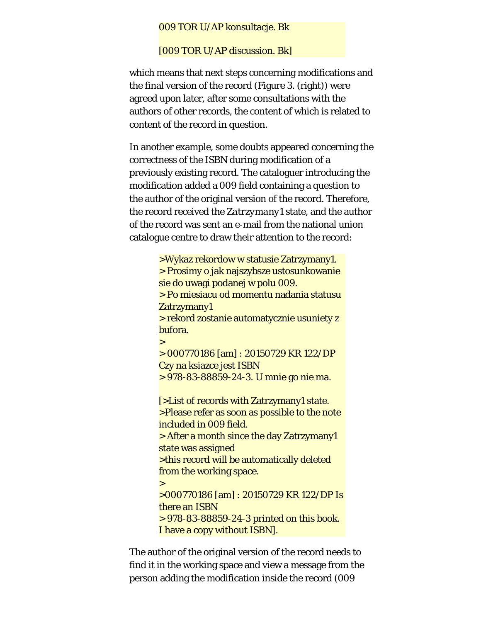#### 009 TOR U/AP konsultacje. Bk

[009 TOR U/AP discussion. Bk]

which means that next steps concerning modifications and the final version of the record (Figure 3. (right)) were agreed upon later, after some consultations with the authors of other records, the content of which is related to content of the record in question.

In another example, some doubts appeared concerning the correctness of the ISBN during modification of a previously existing record. The cataloguer introducing the modification added a 009 field containing a question to the author of the original version of the record. Therefore, the record received the *Zatrzymany1* state, and the author of the record was sent an e-mail from the national union catalogue centre to draw their attention to the record:

> >Wykaz rekordow w statusie Zatrzymany1. > Prosimy o jak najszybsze ustosunkowanie sie do uwagi podanej w polu 009. > Po miesiacu od momentu nadania statusu Zatrzymany1 > rekord zostanie automatycznie usuniety z bufora. > > 000770186 [am] : 20150729 KR 122/DP Czy na ksiazce jest ISBN > 978-83-88859-24-3. U mnie go nie ma. [>List of records with Zatrzymany1 state. >Please refer as soon as possible to the note included in 009 field. > After a month since the day Zatrzymany1 state was assigned >this record will be automatically deleted from the working space.  $\geq$ >000770186 [am] : 20150729 KR 122/DP Is there an ISBN > 978-83-88859-24-3 printed on this book. I have a copy without ISBN].

The author of the original version of the record needs to find it in the working space and view a message from the person adding the modification inside the record (009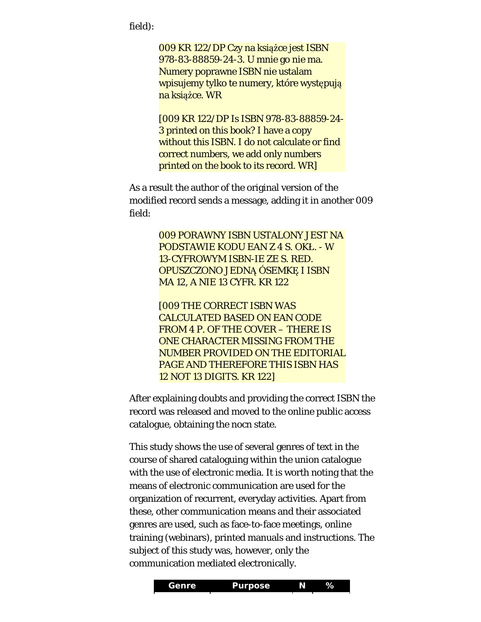field):

009 KR 122/DP Czy na książce jest ISBN 978-83-88859-24-3. U mnie go nie ma. Numery poprawne ISBN nie ustalam wpisujemy tylko te numery, które występują na książce. WR

[009 KR 122/DP Is ISBN 978-83-88859-24- 3 printed on this book? I have a copy without this ISBN. I do not calculate or find correct numbers, we add only numbers printed on the book to its record. WR]

As a result the author of the original version of the modified record sends a message, adding it in another 009 field:

> 009 PORAWNY ISBN USTALONY JEST NA PODSTAWIE KODU EAN Z 4 S. OKŁ. - W 13-CYFROWYM ISBN-IE ZE S. RED. OPUSZCZONO JEDNĄ ÓSEMKĘ I ISBN MA 12, A NIE 13 CYFR. KR 122

> [009 THE CORRECT ISBN WAS CALCULATED BASED ON EAN CODE FROM 4 P. OF THE COVER – THERE IS ONE CHARACTER MISSING FROM THE NUMBER PROVIDED ON THE EDITORIAL PAGE AND THEREFORE THIS ISBN HAS 12 NOT 13 DIGITS. KR 122]

After explaining doubts and providing the correct ISBN the record was released and moved to the online public access catalogue, obtaining the *nocn* state.

This study shows the use of several genres of text in the course of shared cataloguing within the union catalogue with the use of electronic media. It is worth noting that the means of electronic communication are used for the organization of recurrent, everyday activities. Apart from these, other communication means and their associated genres are used, such as face-to-face meetings, online training (webinars), printed manuals and instructions. The subject of this study was, however, only the communication mediated electronically.

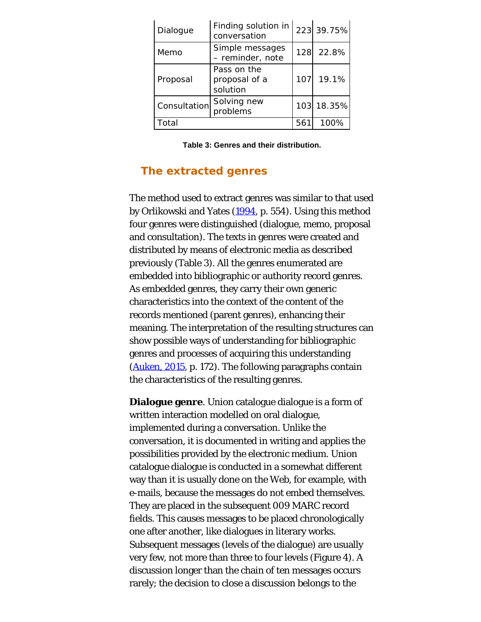| Dialogue     | Finding solution in<br>conversation      |     | 223 39.75% |
|--------------|------------------------------------------|-----|------------|
| Memo         | Simple messages<br>- reminder, note      |     | 128 22.8%  |
| Proposal     | Pass on the<br>proposal of a<br>solution | 107 | 19.1%      |
| Consultation | Solving new<br>problems                  |     | 103 18.35% |
| Total        |                                          | 561 | 100%       |

**Table 3: Genres and their distribution.**

## **The extracted genres**

The method used to extract genres was similar to that used by Orlikowski and Yates [\(1994,](#page-43-0) p. 554). Using this method four genres were distinguished (dialogue, memo, proposal and consultation). The texts in genres were created and distributed by means of electronic media as described previously (Table 3). All the genres enumerated are embedded into bibliographic or authority record genres. As embedded genres, they carry their own generic characteristics into the context of the content of the records mentioned (parent genres), enhancing their meaning. The interpretation of the resulting structures can show possible ways of understanding for bibliographic genres and processes of acquiring this understanding [\(Auken, 2015](#page-43-0), p. 172). The following paragraphs contain the characteristics of the resulting genres.

**Dialogue genre**. Union catalogue dialogue is a form of written interaction modelled on oral dialogue, implemented during a conversation. Unlike the conversation, it is documented in writing and applies the possibilities provided by the electronic medium. Union catalogue dialogue is conducted in a somewhat different way than it is usually done on the Web, for example, with e-mails, because the messages do not embed themselves. They are placed in the subsequent 009 MARC record fields. This causes messages to be placed chronologically one after another, like dialogues in literary works. Subsequent messages (levels of the dialogue) are usually very few, not more than three to four levels (Figure 4). A discussion longer than the chain of ten messages occurs rarely; the decision to close a discussion belongs to the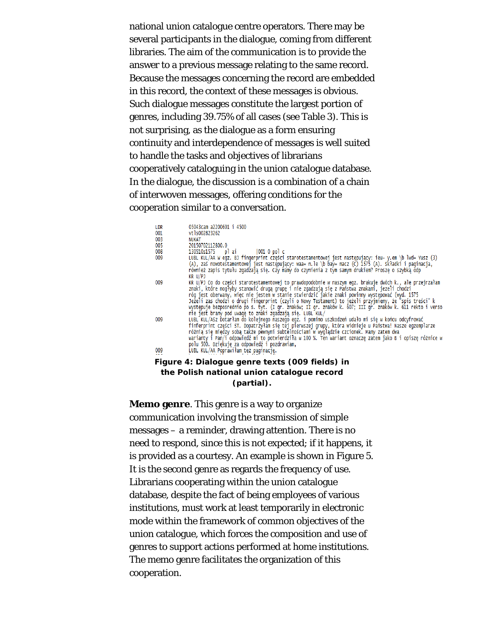national union catalogue centre operators. There may be several participants in the dialogue, coming from different libraries. The aim of the communication is to provide the answer to a previous message relating to the same record. Because the messages concerning the record are embedded in this record, the context of these messages is obvious. Such dialogue messages constitute the largest portion of genres, including 39.75% of all cases (see Table 3). This is not surprising, as the dialogue as a form ensuring continuity and interdependence of messages is well suited to handle the tasks and objectives of librarians cooperatively cataloguing in the union catalogue database. In the dialogue, the discussion is a combination of a chain of interwoven messages, offering conditions for the cooperation similar to a conversation.

| LDR<br>001 | 05043cam a2200601 i 4500<br>vt1s002823262                                                                                                                                                                                                                                                                                                                                                                                                                                                                                                                                                            |
|------------|------------------------------------------------------------------------------------------------------------------------------------------------------------------------------------------------------------------------------------------------------------------------------------------------------------------------------------------------------------------------------------------------------------------------------------------------------------------------------------------------------------------------------------------------------------------------------------------------------|
| 003        | <b>NUKAT</b>                                                                                                                                                                                                                                                                                                                                                                                                                                                                                                                                                                                         |
| 005        | 20150702112800.0                                                                                                                                                                                                                                                                                                                                                                                                                                                                                                                                                                                     |
| 008        | 130510s1575 plai  001 0 pol c                                                                                                                                                                                                                                                                                                                                                                                                                                                                                                                                                                        |
| 009        | LUBL KUL/AA W eqz. BJ finqerprint części starotestamentowej jest następujący: ieu- y.em \b lwd= Yusz (3)<br>(A), zaś nowotestamentowej jest następujący: waa= n.le \b bay= macz (C) 1575 (A). składki i paginacja,<br>również zapis tytułu zgadzają się. Czy mamy do czynienia z tym samym drukiem? Prosze o szybką odp<br>KR U/PJ                                                                                                                                                                                                                                                                   |
| 009        | KR U/PJ Co do części starotestamentowej to prawdopodobnie w naszym egz. brakuje dwóch k., ale przejrzałam<br>znaki, które mogłyby stanowić drugą grupę i nie zgadzają się z Państwa znakami, jezeli chodzi<br>róg jest oberwany, więc nie jestem w stanie stwierdzić jakie znaki powinny występować (wyd. 1575<br>Ježeli zas chodzi o drugi fingerprint (czyli o Nowy Testament) to jeżeli przyjmiemy, że "spis treści" k<br>występuje bezposrednio po s. tyt. (I gr. znaków; II gr. znaków k. 607; III gr. znaków k. 611 rekto i verso<br>nie jest brany pod uwaqę to znaki zgadzają się. LUBL KUL/ |
| 009        | LUBL KUL/ASZ Dotarłam do kolejnego naszego egz. i pomimo uszkodzeń udało mi się w końcu odcyfrować<br>finferprint części ST. Dopatrzyłam się tej pierwszej grupy, która widnieje u Państwa! Nasze egzemplarze<br>różnia się między sobą także pewnymi subtelnościami w wyglądzie czcionek. Mamy zatem dwa<br>warianty i Pan/i odpowiedź mi to potwierdziła w 100 %. Ten wariant oznaczę zatem jako B i opiszę różnice w<br>polu 500. Dziękuję za odpowiedź i pozdrawiam,                                                                                                                             |
| 009        | LUBL KUL/AA Poprawiłam też paginację.                                                                                                                                                                                                                                                                                                                                                                                                                                                                                                                                                                |
|            | Figure 4: Dialogue genre texts (009 fields) in                                                                                                                                                                                                                                                                                                                                                                                                                                                                                                                                                       |

#### **the Polish national union catalogue record (partial).**

**Memo genre**. This genre is a way to organize communication involving the transmission of simple messages – a reminder, drawing attention. There is no need to respond, since this is not expected; if it happens, it is provided as a courtesy. An example is shown in Figure 5. It is the second genre as regards the frequency of use. Librarians cooperating within the union catalogue database, despite the fact of being employees of various institutions, must work at least temporarily in electronic mode within the framework of common objectives of the union catalogue, which forces the composition and use of genres to support actions performed at home institutions. The memo genre facilitates the organization of this cooperation.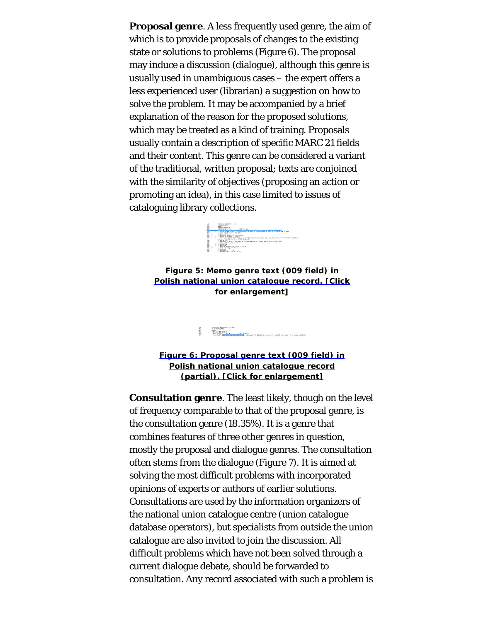**Proposal genre**. A less frequently used genre, the aim of which is to provide proposals of changes to the existing state or solutions to problems (Figure 6). The proposal may induce a discussion (dialogue), although this genre is usually used in unambiguous cases – the expert offers a less experienced user (librarian) a suggestion on how to solve the problem. It may be accompanied by a brief explanation of the reason for the proposed solutions, which may be treated as a kind of training. Proposals usually contain a description of specific MARC 21 fields and their content. This genre can be considered a variant of the traditional, written proposal; texts are conjoined with the similarity of objectives (proposing an action or promoting an idea), in this case limited to issues of cataloguing library collections.



**[Figure 5: Memo genre text \(009 field\) in](http://www.informationr.net/ir/21-4/p732fig5.png) [Polish national union catalogue record. \[Click](http://www.informationr.net/ir/21-4/p732fig5.png) [for enlargement\]](http://www.informationr.net/ir/21-4/p732fig5.png)**

> un bacım azırmız 1 a.vo<br>1992-1993 (1993)<br>1992-1993 (1993)<br>1992-1993 (1993-1993) (1993-1994)<br>1993-1993 (1993-1993-1993) (1993-1994) (1994-1994) (1994-1994) (1994-1994) (1994-1994)<br>1994-1994 (1995-1995-1995-1995) (1994-1994) 1888

**[Figure 6: Proposal genre text \(009 field\) in](http://www.informationr.net/ir/21-4/p732fig6.png) [Polish national union catalogue record](http://www.informationr.net/ir/21-4/p732fig6.png) [\(partial\). \[Click for enlargement\]](http://www.informationr.net/ir/21-4/p732fig6.png)**

**Consultation genre**. The least likely, though on the level of frequency comparable to that of the proposal genre, is the consultation genre (18.35%). It is a genre that combines features of three other genres in question, mostly the proposal and dialogue genres. The consultation often stems from the dialogue (Figure 7). It is aimed at solving the most difficult problems with incorporated opinions of experts or authors of earlier solutions. Consultations are used by the information organizers of the national union catalogue centre (union catalogue database operators), but specialists from outside the union catalogue are also invited to join the discussion. All difficult problems which have not been solved through a current dialogue debate, should be forwarded to consultation. Any record associated with such a problem is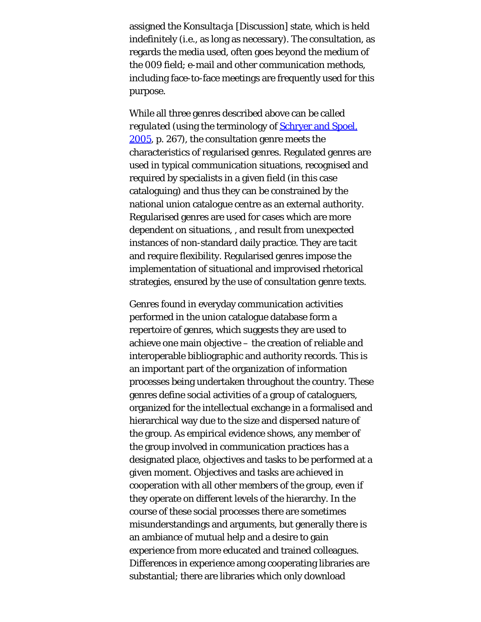assigned the *Konsultacja* [Discussion] state, which is held indefinitely (i.e., as long as necessary). The consultation, as regards the media used, often goes beyond the medium of the 009 field; e-mail and other communication methods, including face-to-face meetings are frequently used for this purpose.

While all three genres described above can be called *regulated* (using the terminology of **Schryer and Spoel**, [2005,](#page-43-9) p. 267), the consultation genre meets the characteristics of regularised genres. Regulated genres are used in typical communication situations, recognised and required by specialists in a given field (in this case cataloguing) and thus they can be constrained by the national union catalogue centre as an external authority. Regularised genres are used for cases which are more dependent on situations, , and result from unexpected instances of non-standard daily practice. They are tacit and require flexibility. Regularised genres impose the implementation of situational and improvised rhetorical strategies, ensured by the use of consultation genre texts.

Genres found in everyday communication activities performed in the union catalogue database form a repertoire of genres, which suggests they are used to achieve one main objective – the creation of reliable and interoperable bibliographic and authority records. This is an important part of the organization of information processes being undertaken throughout the country. These genres define social activities of a group of cataloguers, organized for the intellectual exchange in a formalised and hierarchical way due to the size and dispersed nature of the group. As empirical evidence shows, any member of the group involved in communication practices has a designated place, objectives and tasks to be performed at a given moment. Objectives and tasks are achieved in cooperation with all other members of the group, even if they operate on different levels of the hierarchy. In the course of these social processes there are sometimes misunderstandings and arguments, but generally there is an ambiance of mutual help and a desire to gain experience from more educated and trained colleagues. Differences in experience among cooperating libraries are substantial; there are libraries which only download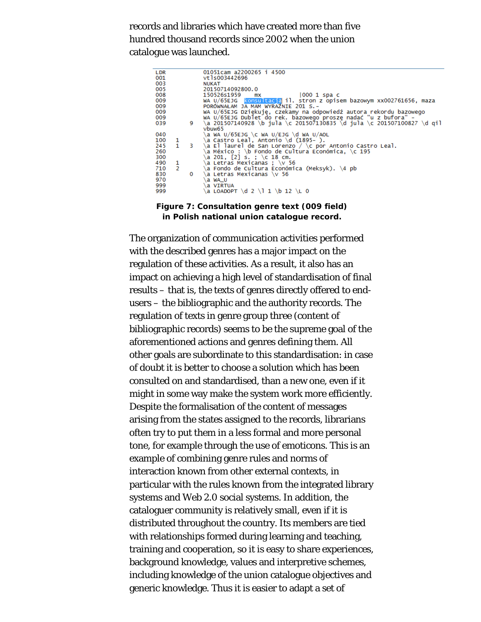records and libraries which have created more than five hundred thousand records since 2002 when the union catalogue was launched.

| .DR |                |    | 01051cam a2200265 i 4500                                               |
|-----|----------------|----|------------------------------------------------------------------------|
| 001 |                |    | vt1s003442696                                                          |
| 03  |                |    | <b>NUKAT</b>                                                           |
| )05 |                |    | 20150714092800.0                                                       |
| 08  |                |    | 150526s1959<br>1000 1 spa c<br>mх                                      |
| 009 |                |    | wA U/65EJG Konsultacia il. stron z opisem bazowym xx002761656, maza    |
| 009 |                |    | PORÓWNAŁAM JA MAM WYRAŹNIE 201 S.-                                     |
| 009 |                |    | WA U/65EJG Dziękuję, czekamy na odpowiedź autora rekordu bazowego      |
| 009 |                |    | WA U/65EJG Dublet do rek. bazowego prosze nadać "u z bufora" -         |
| )39 |                | 9. | \a 201507140928 \b jula \c 201507130835 \d jula \c 201507100827 \d qil |
|     |                |    | vbuw65                                                                 |
| )40 |                |    | a wA U/65EJG \c wA U/EJG \d wA U/AOL,                                  |
| LOO | 1              |    | ∖a Castro Leal, Antonio \d (1895- ).                                   |
| 245 | $\mathbf{1}$   |    |                                                                        |
|     |                | 3  | \a El laurel de San Lorenzo / \c por Antonio Castro Leal.              |
| 260 |                |    | a México : \b Fondo de Cultura Económica, \c 195                       |
| 300 |                |    | a 201, [2] s. ; \c 18 cm.                                              |
| 190 | 1              |    | a Letras Mexicanas ; \v 56                                             |
| 710 | $\overline{2}$ |    | √a Fondo de Cultura Económica (Meksyk). \4 pb                          |
| 330 |                | 0  | ∖a Letras Mexicanas \v 56                                              |
| 970 |                |    | a WA U                                                                 |
| 999 |                |    | a VIRTUA                                                               |
| 999 |                |    | .а LOADOPT \d 2 \l 1 \b 12 \L 0                                        |
|     |                |    |                                                                        |
|     |                |    |                                                                        |

**Figure 7: Consultation genre text (009 field) in Polish national union catalogue record.**

The organization of communication activities performed with the described genres has a major impact on the regulation of these activities. As a result, it also has an impact on achieving a high level of standardisation of final results – that is, the texts of genres directly offered to endusers – the bibliographic and the authority records. The regulation of texts in genre group three (content of bibliographic records) seems to be the supreme goal of the aforementioned actions and genres defining them. All other goals are subordinate to this standardisation: in case of doubt it is better to choose a solution which has been consulted on and standardised, than a new one, even if it might in some way make the system work more efficiently. Despite the formalisation of the content of messages arising from the states assigned to the records, librarians often try to put them in a less formal and more personal tone, for example through the use of emoticons. This is an example of combining genre rules and norms of interaction known from other external contexts, in particular with the rules known from the integrated library systems and Web 2.0 social systems. In addition, the cataloguer community is relatively small, even if it is distributed throughout the country. Its members are tied with relationships formed during learning and teaching, training and cooperation, so it is easy to share experiences, background knowledge, values and interpretive schemes, including knowledge of the union catalogue objectives and generic knowledge. Thus it is easier to adapt a set of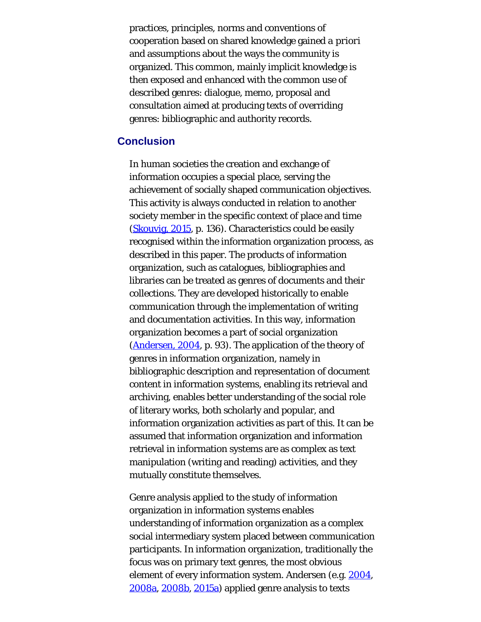practices, principles, norms and conventions of cooperation based on shared knowledge gained *a priori* and assumptions about the ways the community is organized. This common, mainly implicit knowledge is then exposed and enhanced with the common use of described genres: dialogue, memo, proposal and consultation aimed at producing texts of overriding genres: bibliographic and authority records.

## **Conclusion**

In human societies the creation and exchange of information occupies a special place, serving the achievement of socially shaped communication objectives. This activity is always conducted in relation to another society member in the specific context of place and time ([Skouvig, 2015,](#page-43-10) p. 136). Characteristics could be easily recognised within the information organization process, as described in this paper. The products of information organization, such as catalogues, bibliographies and libraries can be treated as genres of documents and their collections. They are developed historically to enable communication through the implementation of writing and documentation activities. In this way, information organization becomes a part of social organization ([Andersen, 2004](#page-43-0), p. 93). The application of the theory of genres in information organization, namely in bibliographic description and representation of document content in information systems, enabling its retrieval and archiving, enables better understanding of the social role of literary works, both scholarly and popular, and information organization activities as part of this. It can be assumed that information organization and information retrieval in information systems are as complex as text manipulation (writing and reading) activities, and they mutually constitute themselves.

Genre analysis applied to the study of information organization in information systems enables understanding of information organization as a complex social intermediary system placed between communication participants. In information organization, traditionally the focus was on primary text genres, the most obvious element of every information system. Andersen (e.g. [2004,](#page-43-0) [2008a, 2008b](#page-43-0), [2015a](#page-43-0)) applied genre analysis to texts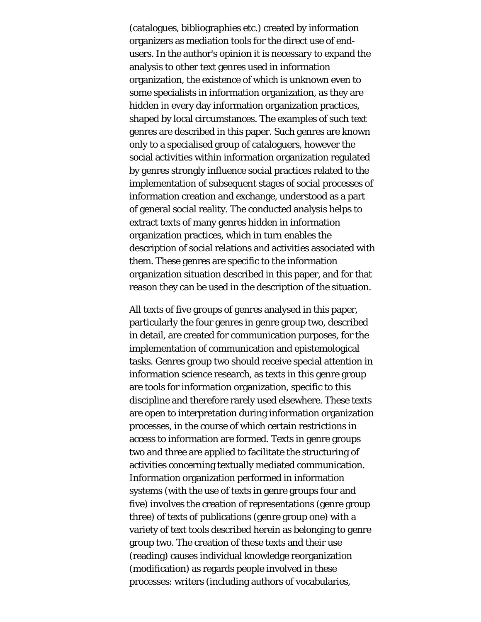(catalogues, bibliographies etc.) created by information organizers as mediation tools for the direct use of endusers. In the author's opinion it is necessary to expand the analysis to other text genres used in information organization, the existence of which is unknown even to some specialists in information organization, as they are hidden in every day information organization practices, shaped by local circumstances. The examples of such text genres are described in this paper. Such genres are known only to a specialised group of cataloguers, however the social activities within information organization regulated by genres strongly influence social practices related to the implementation of subsequent stages of social processes of information creation and exchange, understood as a part of general social reality. The conducted analysis helps to extract texts of many genres hidden in information organization practices, which in turn enables the description of social relations and activities associated with them. These genres are specific to the information organization situation described in this paper, and for that reason they can be used in the description of the situation.

All texts of five groups of genres analysed in this paper, particularly the four genres in genre group two, described in detail, are created for communication purposes, for the implementation of communication and epistemological tasks. Genres group two should receive special attention in information science research, as texts in this genre group are tools for information organization, specific to this discipline and therefore rarely used elsewhere. These texts are open to interpretation during information organization processes, in the course of which certain restrictions in access to information are formed. Texts in genre groups two and three are applied to facilitate the structuring of activities concerning textually mediated communication. Information organization performed in information systems (with the use of texts in genre groups four and five) involves the creation of representations (genre group three) of texts of publications (genre group one) with a variety of text tools described herein as belonging to genre group two. The creation of these texts and their use (reading) causes individual knowledge reorganization (modification) as regards people involved in these processes: writers (including authors of vocabularies,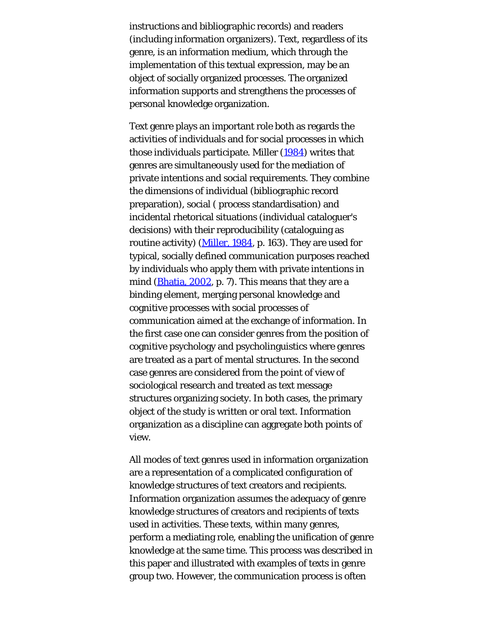instructions and bibliographic records) and readers (including information organizers). Text, regardless of its genre, is an information medium, which through the implementation of this textual expression, may be an object of socially organized processes. The organized information supports and strengthens the processes of personal knowledge organization.

Text genre plays an important role both as regards the activities of individuals and for social processes in which those individuals participate. Miller [\(1984](#page-43-0)) writes that genres are simultaneously used for the mediation of private intentions and social requirements. They combine the dimensions of individual (bibliographic record preparation), social ( process standardisation) and incidental rhetorical situations (individual cataloguer's decisions) with their reproducibility (cataloguing as routine activity) ([Miller, 1984](#page-43-0), p. 163). They are used for typical, socially defined communication purposes reached by individuals who apply them with private intentions in mind ([Bhatia, 2002](#page-43-0), p. 7). This means that they are a binding element, merging personal knowledge and cognitive processes with social processes of communication aimed at the exchange of information. In the first case one can consider genres from the position of cognitive psychology and psycholinguistics where genres are treated as a part of mental structures. In the second case genres are considered from the point of view of sociological research and treated as text message structures organizing society. In both cases, the primary object of the study is written or oral text. Information organization as a discipline can aggregate both points of view.

All modes of text genres used in information organization are a representation of a complicated configuration of knowledge structures of text creators and recipients. Information organization assumes the adequacy of genre knowledge structures of creators and recipients of texts used in activities. These texts, within many genres, perform a mediating role, enabling the unification of genre knowledge at the same time. This process was described in this paper and illustrated with examples of texts in genre group two. However, the communication process is often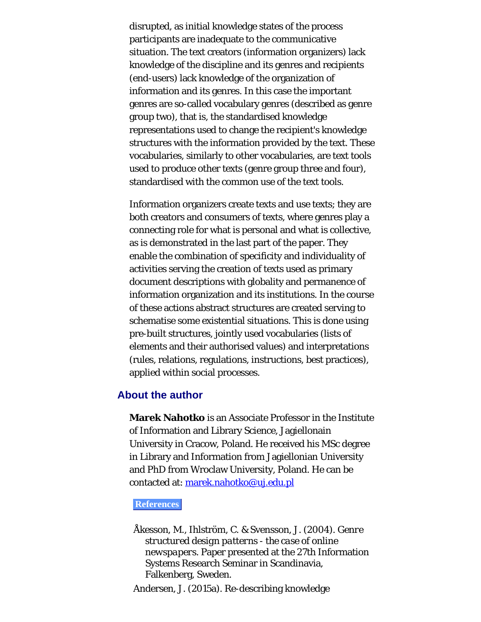disrupted, as initial knowledge states of the process participants are inadequate to the communicative situation. The text creators (information organizers) lack knowledge of the discipline and its genres and recipients (end-users) lack knowledge of the organization of information and its genres. In this case the important genres are so-called vocabulary genres (described as genre group two), that is, the standardised knowledge representations used to change the recipient's knowledge structures with the information provided by the text. These vocabularies, similarly to other vocabularies, are text tools used to produce other texts (genre group three and four), standardised with the common use of the text tools.

Information organizers create texts and use texts; they are both creators and consumers of texts, where genres play a connecting role for what is personal and what is collective, as is demonstrated in the last part of the paper. They enable the combination of specificity and individuality of activities serving the creation of texts used as primary document descriptions with globality and permanence of information organization and its institutions. In the course of these actions abstract structures are created serving to schematise some existential situations. This is done using pre-built structures, jointly used vocabularies (lists of elements and their authorised values) and interpretations (rules, relations, regulations, instructions, best practices), applied within social processes.

## <span id="page-38-0"></span>**About the author**

**Marek Nahotko** is an Associate Professor in the Institute of Information and Library Science, Jagiellonain University in Cracow, Poland. He received his MSc degree in Library and Information from Jagiellonian University and PhD from Wroclaw University, Poland. He can be contacted at: [marek.nahotko@uj.edu.pl](mailto:marek.nahotko@uj.edu.pl)

#### **References**

Åkesson, M., Ihlström, C. & Svensson, J. (2004). *Genre structured design patterns - the case of online newspapers*. Paper presented at the 27th Information Systems Research Seminar in Scandinavia, Falkenberg, Sweden.

Andersen, J. (2015a). Re-describing knowledge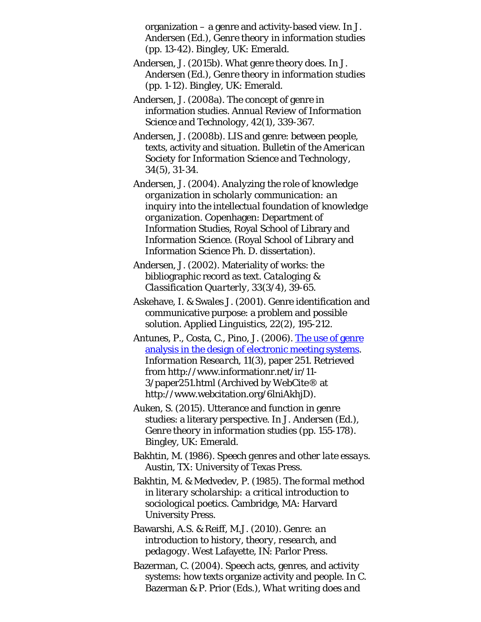organization – a genre and activity-based view. In J. Andersen (Ed.), *Genre theory in information studies* (pp. 13-42). Bingley, UK: Emerald.

- Andersen, J. (2015b). What genre theory does. In J. Andersen (Ed.), *Genre theory in information studies* (pp. 1-12). Bingley, UK: Emerald.
- Andersen, J. (2008a). The concept of genre in information studies. *Annual Review of Information Science and Technology, 42*(1), 339-367.
- Andersen, J. (2008b). LIS and genre: between people, texts, activity and situation. *Bulletin of the American Society for Information Science and Technology, 34*(5), 31-34.
- Andersen, J. (2004). *Analyzing the role of knowledge organization in scholarly communication: an inquiry into the intellectual foundation of knowledge organization*. Copenhagen: Department of Information Studies, Royal School of Library and Information Science. (Royal School of Library and Information Science Ph. D. dissertation).
- Andersen, J. (2002). Materiality of works: the bibliographic record as text. *Cataloging & Classification Quarterly, 33*(3/4), 39-65.
- Askehave, I. & Swales J. (2001). Genre identification and communicative purpose: a problem and possible solution. *Applied Linguistics, 22*(2), 195-212.
- Antunes, P., Costa, C., Pino, J. (2006). [The use of genre](http://www.webcitation.org/6lniAkhjD) [analysis in the design of electronic meeting systems.](http://www.webcitation.org/6lniAkhjD) *Information Research, 11*(3), paper 251. Retrieved from http://www.informationr.net/ir/11- 3/paper251.html (Archived by WebCite® at http://www.webcitation.org/6lniAkhjD).
- Auken, S. (2015). Utterance and function in genre studies: a literary perspective. In J. Andersen (Ed.), *Genre theory in information studies* (pp. 155-178). Bingley, UK: Emerald.
- Bakhtin, M. (1986). *Speech genres and other late essays*. Austin, TX: University of Texas Press.
- Bakhtin, M. & Medvedev, P. (1985). *The formal method in literary scholarship: a critical introduction to sociological poetics*. Cambridge, MA: Harvard University Press.
- Bawarshi, A.S. & Reiff, M.J. (2010). *Genre: an introduction to history, theory, research, and pedagogy*. West Lafayette, IN: Parlor Press.
- Bazerman, C. (2004). Speech acts, genres, and activity systems: how texts organize activity and people. In C. Bazerman & P. Prior (Eds.), *What writing does and*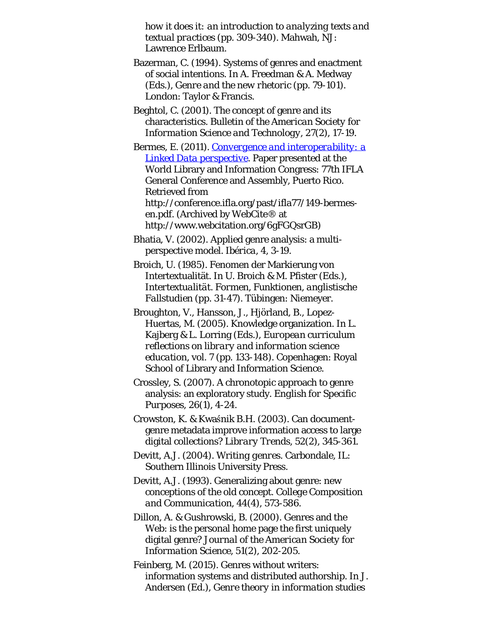*how it does it: an introduction to analyzing texts and textual practices* (pp. 309-340). Mahwah, NJ: Lawrence Erlbaum.

- Bazerman, C. (1994). Systems of genres and enactment of social intentions. In A. Freedman & A. Medway (Eds.), *Genre and the new rhetoric* (pp. 79-101). London: Taylor & Francis.
- Beghtol, C. (2001). The concept of genre and its characteristics. *Bulletin of the American Society for Information Science and Technology, 27*(2), 17-19.

Bermes, E. (2011). *[Convergence and interoperability: a](http://www.webcitation.org/6gFGQsrGB) [Linked Data perspective](http://www.webcitation.org/6gFGQsrGB)*. Paper presented at the World Library and Information Congress: 77th IFLA General Conference and Assembly, Puerto Rico. Retrieved from http://conference.ifla.org/past/ifla77/149-bermesen.pdf. (Archived by WebCite® at http://www.webcitation.org/6gFGQsrGB)

- Bhatia, V. (2002). Applied genre analysis: a multiperspective model. *Ibérica, 4*, 3-19.
- Broich, U. (1985). Fenomen der Markierung von Intertextualität. In U. Broich & M. Pfister (Eds.), *Intertextualität. Formen, Funktionen, anglistische Fallstudien* (pp. 31-47). Tübingen: Niemeyer.
- Broughton, V., Hansson, J., Hjörland, B., Lopez-Huertas, M. (2005). Knowledge organization. In L. Kajberg & L. Lorring (Eds.), *European curriculum reflections on library and information science education*, vol. 7 (pp. 133-148). Copenhagen: Royal School of Library and Information Science.
- Crossley, S. (2007). A chronotopic approach to genre analysis: an exploratory study. *English for Specific Purposes, 26*(1), 4-24.
- Crowston, K. & Kwaśnik B.H. (2003). Can documentgenre metadata improve information access to large digital collections? *Library Trends, 52*(2), 345-361.
- Devitt, A.J. (2004). *Writing genres*. Carbondale, IL: Southern Illinois University Press.
- Devitt, A.J. (1993). Generalizing about genre: new conceptions of the old concept. *College Composition and Communication, 44*(4), 573-586.
- Dillon, A. & Gushrowski, B. (2000). Genres and the Web: is the personal home page the first uniquely digital genre? *Journal of the American Society for Information Science, 51*(2), 202-205.
- Feinberg, M. (2015). Genres without writers: information systems and distributed authorship. In J. Andersen (Ed.), *Genre theory in information studies*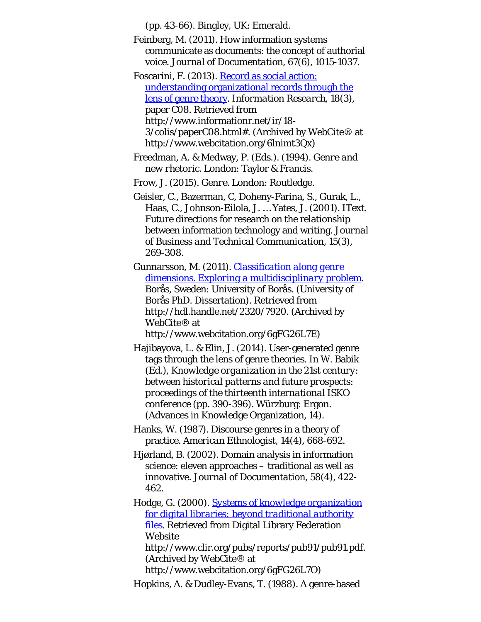(pp. 43-66). Bingley, UK: Emerald.

- Feinberg, M. (2011). How information systems communicate as documents: the concept of authorial voice. *Journal of Documentation, 67*(6), 1015-1037.
- Foscarini, F. (2013). [Record as social action:](http://www.webcitation.org/6lnimt3Qx) [understanding organizational records through the](http://www.webcitation.org/6lnimt3Qx) [lens of genre theory](http://www.webcitation.org/6lnimt3Qx). *Information Research, 18*(3), paper C08. Retrieved from http://www.informationr.net/ir/18- 3/colis/paperC08.html#. (Archived by WebCite® at http://www.webcitation.org/6lnimt3Qx)
- Freedman, A. & Medway, P. (Eds.). (1994). *Genre and new rhetoric*. London: Taylor & Francis.

Frow, J. (2015). *Genre*. London: Routledge.

- Geisler, C., Bazerman, C, Doheny-Farina, S., Gurak, L., Haas, C., Johnson-Eilola, J. … Yates, J. (2001). IText. Future directions for research on the relationship between information technology and writing. *Journal of Business and Technical Communication, 15*(3), 269-308.
- Gunnarsson, M. (2011). *[Classification along genre](http://www.webcitation.org/6gFG26L7E) [dimensions. Exploring a multidisciplinary problem](http://www.webcitation.org/6gFG26L7E)*. Borås, Sweden: University of Borås. (University of Borås PhD. Dissertation). Retrieved from http://hdl.handle.net/2320/7920. (Archived by WebCite® at

http://www.webcitation.org/6gFG26L7E)

- Hajibayova, L. & Elin, J. (2014). User-generated genre tags through the lens of genre theories. In W. Babik (Ed.), *Knowledge organization in the 21st century: between historical patterns and future prospects: proceedings of the thirteenth international ISKO conference* (pp. 390-396). Würzburg: Ergon. (Advances in Knowledge Organization, 14).
- Hanks, W. (1987). Discourse genres in a theory of practice. *American Ethnologist, 14*(4), 668-692.
- Hjørland, B. (2002). Domain analysis in information science: eleven approaches – traditional as well as innovative. *Journal of Documentation, 58*(4), 422- 462.
- Hodge, G. (2000). *[Systems of knowledge organization](http://www.webcitation.org/6gFG26L7O) [for digital libraries: beyond traditional authority](http://www.webcitation.org/6gFG26L7O) [files](http://www.webcitation.org/6gFG26L7O)*. Retrieved from Digital Library Federation Website http://www.clir.org/pubs/reports/pub91/pub91.pdf. (Archived by WebCite® at

http://www.webcitation.org/6gFG26L7O)

Hopkins, A. & Dudley-Evans, T. (1988). A genre-based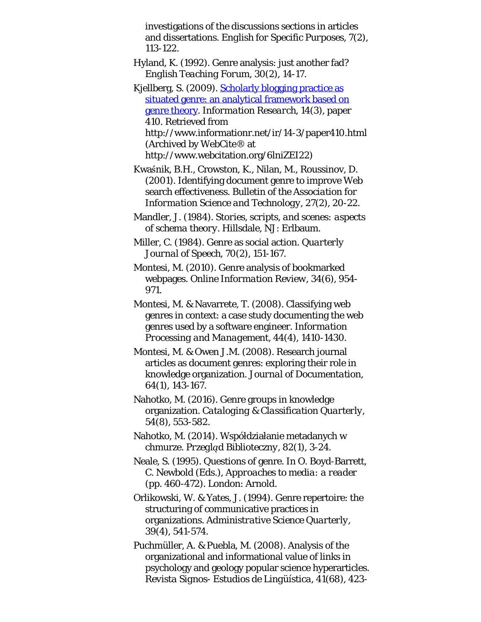investigations of the discussions sections in articles and dissertations. *English for Specific Purposes, 7*(2), 113-122.

- Hyland, K. (1992). Genre analysis: just another fad? *English Teaching Forum, 30*(2), 14-17.
- Kjellberg, S. (2009). [Scholarly blogging practice as](http://www.webcitation.org/6lniZEI22) [situated genre: an analytical framework based on](http://www.webcitation.org/6lniZEI22) [genre theory.](http://www.webcitation.org/6lniZEI22) *Information Research, 14*(3), paper 410. Retrieved from http://www.informationr.net/ir/14-3/paper410.html (Archived by WebCite® at http://www.webcitation.org/6lniZEI22)
- Kwaśnik, B.H., Crowston, K., Nilan, M., Roussinov, D. (2001). Identifying document genre to improve Web search effectiveness. *Bulletin of the Association for Information Science and Technology, 27*(2), 20-22.
- Mandler, J. (1984). *Stories, scripts, and scenes: aspects of schema theory*. Hillsdale, NJ: Erlbaum.
- Miller, C. (1984). Genre as social action. *Quarterly Journal of Speech, 70*(2), 151-167.
- Montesi, M. (2010). Genre analysis of bookmarked webpages. *Online Information Review, 34*(6), 954- 971.
- Montesi, M. & Navarrete, T. (2008). Classifying web genres in context: a case study documenting the web genres used by a software engineer. *Information Processing and Management, 44*(4), 1410-1430.
- Montesi, M. & Owen J.M. (2008). Research journal articles as document genres: exploring their role in knowledge organization. *Journal of Documentation, 64*(1), 143-167.
- Nahotko, M. (2016). Genre groups in knowledge organization. *Cataloging & Classification Quarterly, 54*(8), 553-582.
- Nahotko, M. (2014). Współdziałanie metadanych w chmurze. *Przegląd Biblioteczny, 82*(1), 3-24.
- Neale, S. (1995). Questions of genre. In O. Boyd-Barrett, C. Newbold (Eds.), *Approaches to media: a reader* (pp. 460-472). London: Arnold.
- Orlikowski, W. & Yates, J. (1994). Genre repertoire: the structuring of communicative practices in organizations. *Administrative Science Quarterly, 39*(4), 541-574.
- Puchmüller, A. & Puebla, M. (2008). Analysis of the organizational and informational value of links in psychology and geology popular science hyperarticles. *Revista Signos- Estudios de Lingüística, 41*(68), 423-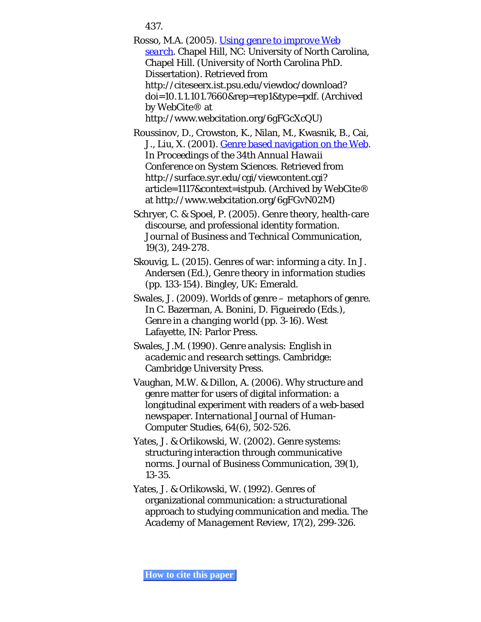<span id="page-43-0"></span>437.

<span id="page-43-7"></span><span id="page-43-6"></span>Rosso, M.A. (2005). *[Using genre to improve Web](http://www.webcitation.org/6gFGcXcQU) [search](http://www.webcitation.org/6gFGcXcQU)*. Chapel Hill, NC: University of North Carolina, Chapel Hill. (University of North Carolina PhD. Dissertation). Retrieved from http://citeseerx.ist.psu.edu/viewdoc/download? doi=10.1.1.101.7660&rep=rep1&type=pdf. (Archived by WebCite® at http://www.webcitation.org/6gFGcXcQU)

<span id="page-43-5"></span>Roussinov, D., Crowston, K., Nilan, M., Kwasnik, B., Cai, J., Liu, X. (2001). [Genre based navigation on the Web](http://www.webcitation.org/6gFGvN02M). In *Proceedings of the 34th Annual Hawaii Conference on System Sciences*. Retrieved from http://surface.syr.edu/cgi/viewcontent.cgi? article=1117&context=istpub. (Archived by WebCite® at http://www.webcitation.org/6gFGvN02M)

<span id="page-43-9"></span>Schryer, C. & Spoel, P. (2005). Genre theory, health-care discourse, and professional identity formation. *Journal of Business and Technical Communication, 19*(3), 249-278.

<span id="page-43-10"></span>Skouvig, L. (2015). Genres of war: informing a city. In J. Andersen (Ed.), *Genre theory in information studies* (pp. 133-154). Bingley, UK: Emerald.

<span id="page-43-2"></span>Swales, J. (2009). Worlds of genre – metaphors of genre. In C. Bazerman, A. Bonini, D. Figueiredo (Eds.), *Genre in a changing world* (pp. 3-16). West Lafayette, IN: Parlor Press.

<span id="page-43-1"></span>Swales, J.M. (1990). *Genre analysis: English in academic and research settings*. Cambridge: Cambridge University Press.

<span id="page-43-3"></span>Vaughan, M.W. & Dillon, A. (2006). Why structure and genre matter for users of digital information: a longitudinal experiment with readers of a web-based newspaper. *International Journal of Human-Computer Studies, 64*(6), 502-526.

<span id="page-43-8"></span>Yates, J. & Orlikowski, W. (2002). Genre systems: structuring interaction through communicative norms. *Journal of Business Communication, 39*(1), 13-35.

<span id="page-43-4"></span>Yates, J. & Orlikowski, W. (1992). Genres of organizational communication: a structurational approach to studying communication and media. *The Academy of Management Review, 17*(2), 299-326.